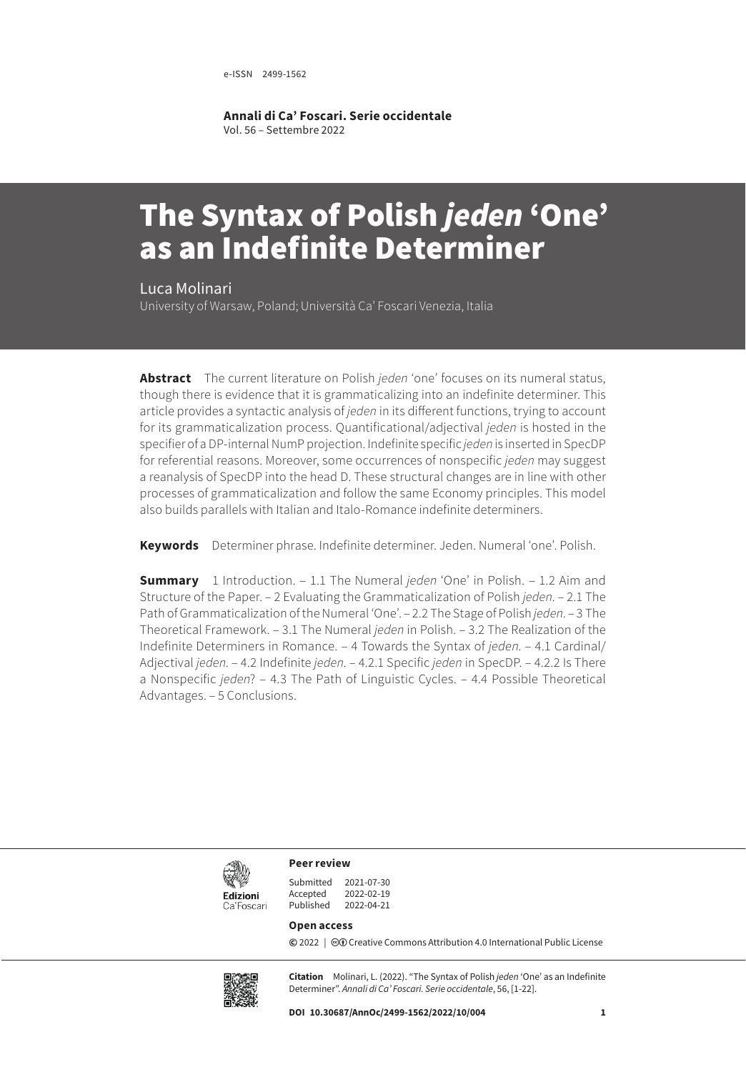e-ISSN 2499-1562

**Annali di Ca' Foscari. Serie occidentale** Vol. 56 – Settembre 2022

# The Syntax of Polish *jeden* 'One' as an Indefinite Determiner

Luca Molinari

University of Warsaw, Poland; Università Ca' Foscari Venezia, Italia

**Abstract** The current literature on Polish *jeden* 'one' focuses on its numeral status, though there is evidence that it is grammaticalizing into an indefinite determiner. This article provides a syntactic analysis of *jeden* in its different functions, trying to account for its grammaticalization process. Quantificational/adjectival *jeden* is hosted in the specifier of a DP-internal NumP projection. Indefinite specific *jeden* is inserted in SpecDP for referential reasons. Moreover, some occurrences of nonspecific *jeden* may suggest a reanalysis of SpecDP into the head D. These structural changes are in line with other processes of grammaticalization and follow the same Economy principles. This model also builds parallels with Italian and Italo-Romance indefinite determiners.

**Keywords** Determiner phrase. Indefinite determiner. Jeden. Numeral 'one'. Polish.

**Summary** [1 Introduction](#page-1-0). – [1.1 The Numeral](#page-1-0) *jeden* 'One' in Polish. [– 1.2 Aim and](#page-2-0)  [Structure of the Paper.](#page-2-0) – [2 Evaluating the Grammaticalization of Polish](#page-2-0) *jeden*. – [2.1 The](#page-2-0)  [Path of Grammaticalization of the Numeral 'One'.](#page-2-0) [– 2.2 The Stage of Polish](#page-3-0) *jeden*. – 3 [The](#page-5-0)  [Theoretical Framework](#page-5-0)[. – 3.1 The Numeral](#page-6-0) *jeden* in Polish. [– 3.2 The Realization of the](#page-6-0)  [Indefinite Determiners in Romance.](#page-6-0) [– 4 Towards the Syntax of](#page-7-0) *jeden*[. – 4.1 Cardinal/](#page-7-0) [Adjectival](#page-7-0) *jeden*[. – 4.2 Indefinite](#page-10-0) *jeden*. [– 4.2.1 Specific](#page-11-0) *jeden* in SpecDP. [– 4.2.2 Is There](#page-13-0)  [a Nonspecific](#page-13-0) *jeden*[? – 4.3 T](#page-14-0)he Path of Linguistic Cycles. – [4.4 Possible Theoretical](#page-16-0)  [Advantages.](#page-16-0) [– 5 Conclusions.](#page-17-0)



**Peer review**

| 2021-07-30 |
|------------|
| 2022-02-19 |
| 2022-04-21 |
|            |

#### **Open access**

**©** 2022 | ©**O** [Creative Commons Attribution 4.0 International Public License](https://creativecommons.org/licenses/by/4.0/)



**Citation** Molinari, L. (2022). "The Syntax of Polish *jeden* 'One' as an Indefinite Determiner". *Annali di Ca' Foscari. Serie occidentale*, 56, [1-22].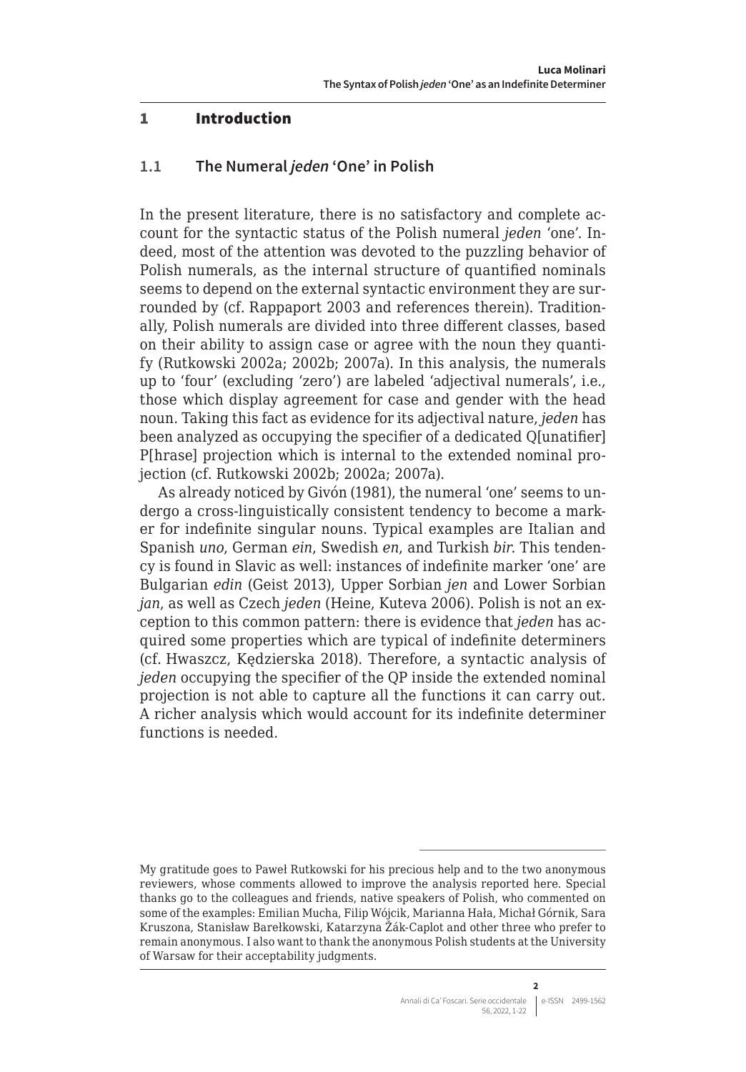#### <span id="page-1-0"></span>1 Introduction

#### **1.1 The Numeral** *jeden* **'One' in Polish**

In the present literature, there is no satisfactory and complete account for the syntactic status of the Polish numeral *jeden* 'one'. Indeed, most of the attention was devoted to the puzzling behavior of Polish numerals, as the internal structure of quantified nominals seems to depend on the external syntactic environment they are surrounded by (cf. Rappaport 2003 and references therein). Traditionally, Polish numerals are divided into three different classes, based on their ability to assign case or agree with the noun they quantify (Rutkowski 2002a; 2002b; 2007a). In this analysis, the numerals up to 'four' (excluding 'zero') are labeled 'adjectival numerals', i.e., those which display agreement for case and gender with the head noun. Taking this fact as evidence for its adjectival nature, *jeden* has been analyzed as occupying the specifier of a dedicated Q[unatifier] P[hrase] projection which is internal to the extended nominal projection (cf. Rutkowski 2002b; 2002a; 2007a).

As already noticed by Givón (1981), the numeral 'one' seems to undergo a cross-linguistically consistent tendency to become a marker for indefinite singular nouns. Typical examples are Italian and Spanish *uno*, German *ein*, Swedish *en*, and Turkish *bir*. This tendency is found in Slavic as well: instances of indefinite marker 'one' are Bulgarian *edin* (Geist 2013), Upper Sorbian *jen* and Lower Sorbian *jan*, as well as Czech *jeden* (Heine, Kuteva 2006). Polish is not an exception to this common pattern: there is evidence that *jeden* has acquired some properties which are typical of indefinite determiners (cf. Hwaszcz, Kędzierska 2018). Therefore, a syntactic analysis of *jeden* occupying the specifier of the QP inside the extended nominal projection is not able to capture all the functions it can carry out. A richer analysis which would account for its indefinite determiner functions is needed.

My gratitude goes to Paweł Rutkowski for his precious help and to the two anonymous reviewers, whose comments allowed to improve the analysis reported here. Special thanks go to the colleagues and friends, native speakers of Polish, who commented on some of the examples: Emilian Mucha, Filip Wójcik, Marianna Hała, Michał Górnik, Sara Kruszona, Stanisław Barełkowski, Katarzyna Žák-Caplot and other three who prefer to remain anonymous. I also want to thank the anonymous Polish students at the University of Warsaw for their acceptability judgments.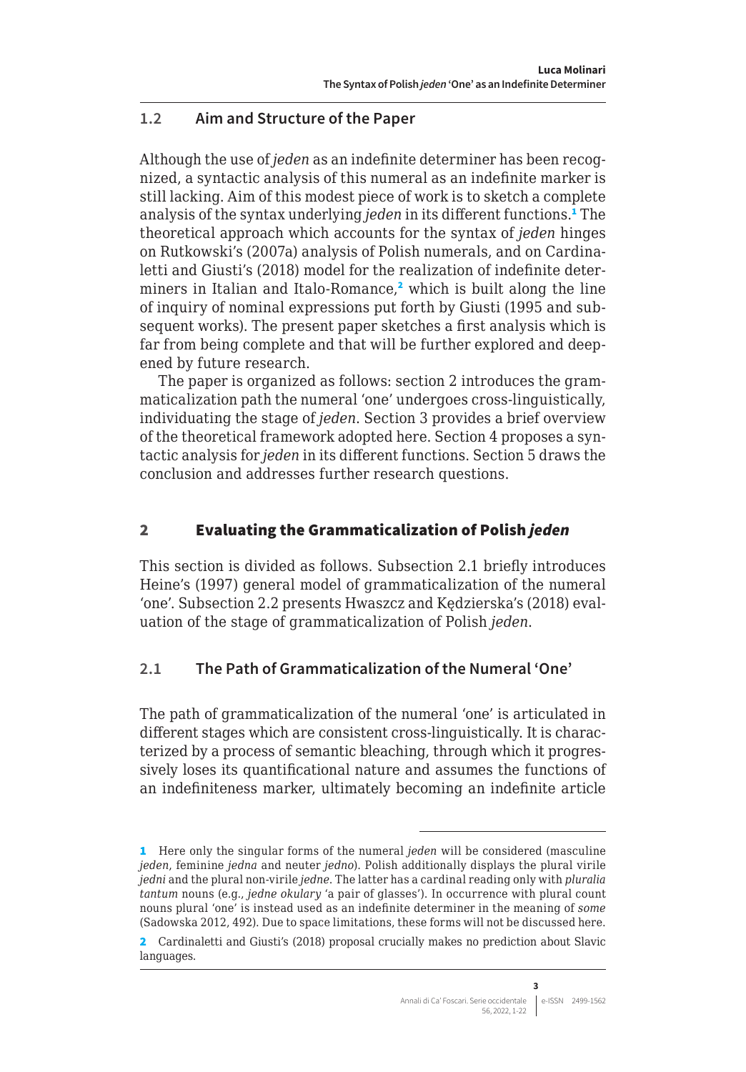# <span id="page-2-0"></span>**1.2 Aim and Structure of the Paper**

Although the use of *jeden* as an indefinite determiner has been recognized, a syntactic analysis of this numeral as an indefinite marker is still lacking. Aim of this modest piece of work is to sketch a complete analysis of the syntax underlying *jeden* in its different functions.<sup>1</sup> The theoretical approach which accounts for the syntax of *jeden* hinges on Rutkowski's (2007a) analysis of Polish numerals, and on Cardinaletti and Giusti's (2018) model for the realization of indefinite determiners in Italian and Italo-Romance,<sup>2</sup> which is built along the line of inquiry of nominal expressions put forth by Giusti (1995 and subsequent works). The present paper sketches a first analysis which is far from being complete and that will be further explored and deepened by future research.

The paper is organized as follows: section 2 introduces the grammaticalization path the numeral 'one' undergoes cross-linguistically, individuating the stage of *jeden*. Section 3 provides a brief overview of the theoretical framework adopted here. Section 4 proposes a syntactic analysis for *jeden* in its different functions. Section 5 draws the conclusion and addresses further research questions.

# 2 Evaluating the Grammaticalization of Polish *jeden*

This section is divided as follows. Subsection 2.1 briefly introduces Heine's (1997) general model of grammaticalization of the numeral 'one'. Subsection 2.2 presents Hwaszcz and Kędzierska's (2018) evaluation of the stage of grammaticalization of Polish *jeden*.

# **2.1 The Path of Grammaticalization of the Numeral 'One'**

The path of grammaticalization of the numeral 'one' is articulated in different stages which are consistent cross-linguistically. It is characterized by a process of semantic bleaching, through which it progressively loses its quantificational nature and assumes the functions of an indefiniteness marker, ultimately becoming an indefinite article

<sup>1</sup> Here only the singular forms of the numeral *jeden* will be considered (masculine *jeden*, feminine *jedna* and neuter *jedno*). Polish additionally displays the plural virile *jedni* and the plural non-virile *jedne*. The latter has a cardinal reading only with *pluralia tantum* nouns (e.g., *jedne okulary* 'a pair of glasses'). In occurrence with plural count nouns plural 'one' is instead used as an indefinite determiner in the meaning of *some* (Sadowska 2012, 492). Due to space limitations, these forms will not be discussed here.

<sup>2</sup> Cardinaletti and Giusti's (2018) proposal crucially makes no prediction about Slavic languages.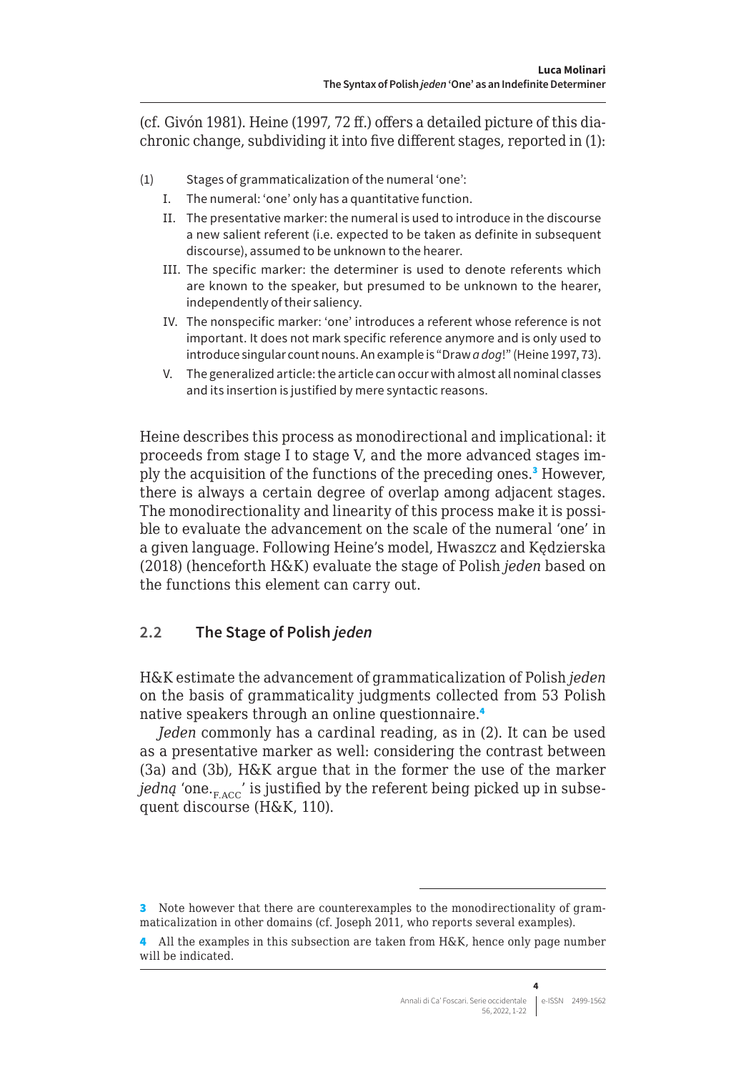<span id="page-3-0"></span>(cf. Givón 1981). Heine (1997, 72 ff.) offers a detailed picture of this diachronic change, subdividing it into five different stages, reported in (1):

- (1) Stages of grammaticalization of the numeral 'one':
	- Ι. The numeral: 'one' only has a quantitative function.
	- ΙΙ. The presentative marker: the numeral is used to introduce in the discourse a new salient referent (i.e. expected to be taken as definite in subsequent discourse), assumed to be unknown to the hearer.
	- ΙΙΙ. The specific marker: the determiner is used to denote referents which are known to the speaker, but presumed to be unknown to the hearer, independently of their saliency.
	- ΙV. The nonspecific marker: 'one' introduces a referent whose reference is not important. It does not mark specific reference anymore and is only used to introduce singular count nouns. An example is "Draw *a dog*!" (Heine 1997, 73).
	- V. The generalized article: the article can occur with almost all nominal classes and its insertion is justified by mere syntactic reasons.

Heine describes this process as monodirectional and implicational: it proceeds from stage I to stage V, and the more advanced stages imply the acquisition of the functions of the preceding ones.<sup>3</sup> However, there is always a certain degree of overlap among adjacent stages. The monodirectionality and linearity of this process make it is possible to evaluate the advancement on the scale of the numeral 'one' in a given language. Following Heine's model, Hwaszcz and Kędzierska (2018) (henceforth H&K) evaluate the stage of Polish *jeden* based on the functions this element can carry out.

# **2.2 The Stage of Polish** *jeden*

H&K estimate the advancement of grammaticalization of Polish *jeden*  on the basis of grammaticality judgments collected from 53 Polish native speakers through an online questionnaire.<sup>4</sup>

*Jeden* commonly has a cardinal reading, as in (2). It can be used as a presentative marker as well: considering the contrast between (3a) and (3b), H&K argue that in the former the use of the marker *jedną* 'one. $_{FACC}$ ' is justified by the referent being picked up in subsequent discourse (H&K, 110).

<sup>3</sup> Note however that there are counterexamples to the monodirectionality of grammaticalization in other domains (cf. Joseph 2011, who reports several examples).

<sup>4</sup> All the examples in this subsection are taken from H&K, hence only page number will be indicated.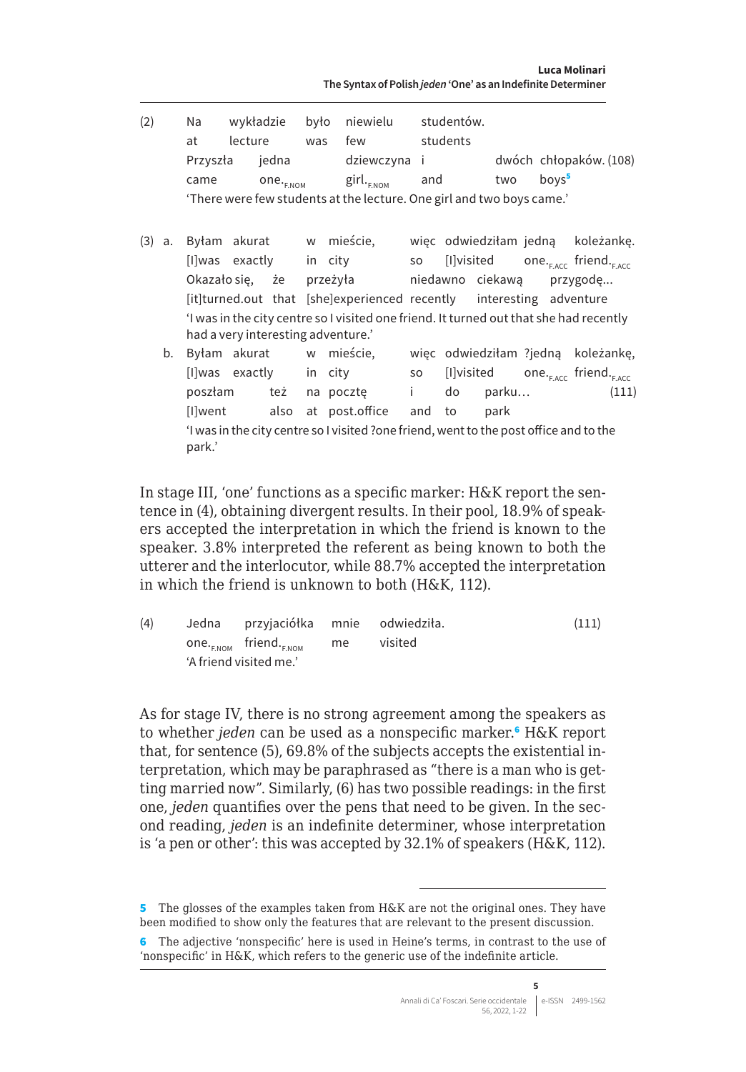| (2) |          |  | Na wykładzie było niewielu studentów.                                                  |  |          |      |                   |                        |
|-----|----------|--|----------------------------------------------------------------------------------------|--|----------|------|-------------------|------------------------|
|     | at       |  | lecture was few                                                                        |  | students |      |                   |                        |
|     | Przyszła |  | jedna dziewczyna i                                                                     |  |          |      |                   | dwóch chłopaków. (108) |
|     | came     |  | one. <sub>ENOM</sub> girl. <sub>ENOM</sub>                                             |  | and two  |      | boys <sup>5</sup> |                        |
|     |          |  | 'There were few students at the lecture. One girl and two boys came.'                  |  |          |      |                   |                        |
|     |          |  |                                                                                        |  |          |      |                   |                        |
| (3) |          |  | a. Byłam akurat w mieście, więc odwiedziłam jedną koleżankę.                           |  |          |      |                   |                        |
|     |          |  | [I]was exactly in city so [I]visited one. <sub>FACC</sub> friend. <sub>FACC</sub>      |  |          |      |                   |                        |
|     |          |  | Okazałosię, że przeżyła biedawno ciekawą przygodę                                      |  |          |      |                   |                        |
|     |          |  | [it]turned.out that [she]experienced recently interesting adventure                    |  |          |      |                   |                        |
|     |          |  | 'I was in the city centre so I visited one friend. It turned out that she had recently |  |          |      |                   |                        |
|     |          |  | had a very interesting adventure.'                                                     |  |          |      |                   |                        |
|     |          |  | b. Byłam akurat w mieście, więc odwiedziłam ?jedną koleżankę,                          |  |          |      |                   |                        |
|     |          |  | [I]was exactly in city so [I]visited one. <sub>FACC</sub> friend. <sub>FACC</sub>      |  |          |      |                   |                        |
|     |          |  | poszłam też napocztę i do parku                                                        |  |          |      |                   | (111)                  |
|     |          |  | [I]went also at post.office and to                                                     |  |          | park |                   |                        |
|     | park.'   |  | I was in the city centre so I visited ?one friend, went to the post office and to the  |  |          |      |                   |                        |

In stage III, 'one' functions as a specific marker: H&K report the sentence in (4), obtaining divergent results. In their pool, 18.9% of speakers accepted the interpretation in which the friend is known to the speaker. 3.8% interpreted the referent as being known to both the utterer and the interlocutor, while 88.7% accepted the interpretation in which the friend is unknown to both (H&K, 112).

| (4) | Jedna przyjaciółka mnie odwiedziła.            |    |         | (111) |
|-----|------------------------------------------------|----|---------|-------|
|     | one. <sub>E.NOM</sub> friend. <sub>E.NOM</sub> | me | visited |       |
|     | 'A friend visited me.'                         |    |         |       |

As for stage IV, there is no strong agreement among the speakers as to whether *jeden* can be used as a nonspecific marker.<sup>6</sup> H&K report that, for sentence (5), 69.8% of the subjects accepts the existential interpretation, which may be paraphrased as "there is a man who is getting married now". Similarly, (6) has two possible readings: in the first one, *jeden* quantifies over the pens that need to be given. In the second reading, *jeden* is an indefinite determiner, whose interpretation is 'a pen or other': this was accepted by 32.1% of speakers (H&K, 112).

<sup>5</sup> The glosses of the examples taken from H&K are not the original ones. They have been modified to show only the features that are relevant to the present discussion.

<sup>6</sup> The adjective 'nonspecific' here is used in Heine's terms, in contrast to the use of 'nonspecific' in H&K, which refers to the generic use of the indefinite article.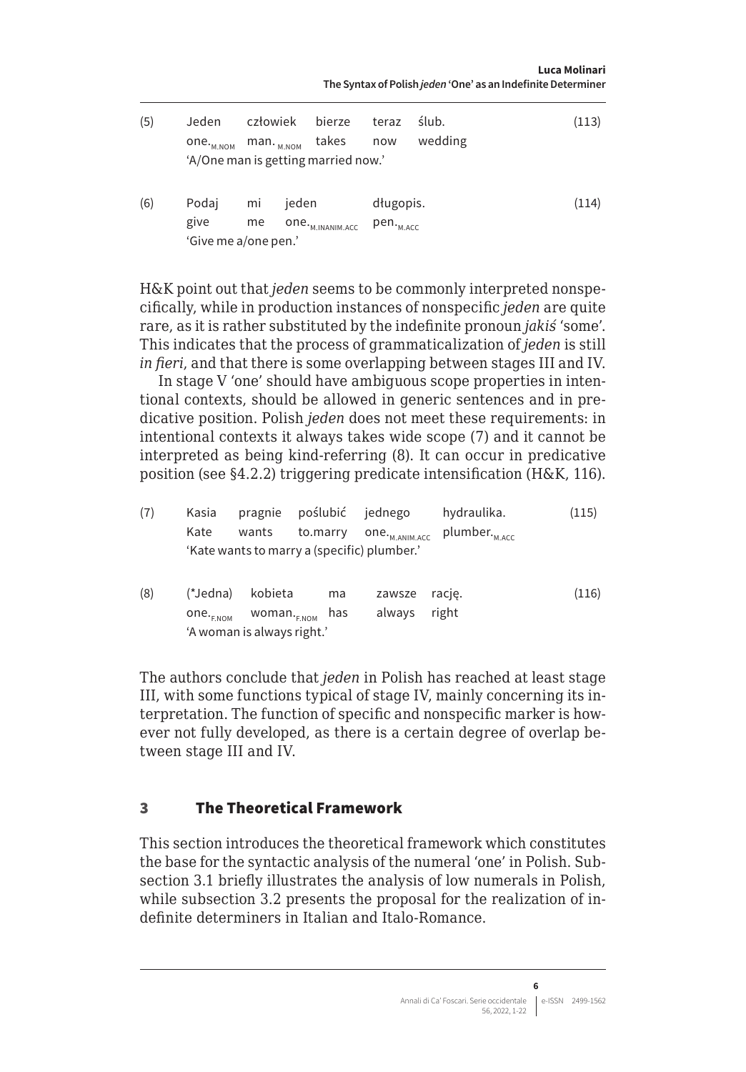**Luca Molinari The Syntax of Polish** *jeden* **'One' as an Indefinite Determiner**

<span id="page-5-0"></span>

| (5) | Jeden<br>one. <sub>м.ном</sub><br>'A/One man is getting married now.' | człowiek<br>$man.$ <sub>M.NOM</sub> |       | bierze<br>takes              | teraz<br>now                       | ślub.<br>wedding | (113) |
|-----|-----------------------------------------------------------------------|-------------------------------------|-------|------------------------------|------------------------------------|------------------|-------|
| (6) | Podaj<br>give<br>'Give me a/one pen.'                                 | mi<br>me                            | jeden | one. <sub>M.INANIM.ACC</sub> | długopis.<br>pen. <sub>м.асс</sub> |                  | (114) |

H&K point out that *jeden* seems to be commonly interpreted nonspecifically, while in production instances of nonspecific *jeden* are quite rare, as it is rather substituted by the indefinite pronoun *jakiś* 'some'. This indicates that the process of grammaticalization of *jeden* is still *in fieri*, and that there is some overlapping between stages III and IV.

In stage V 'one' should have ambiguous scope properties in intentional contexts, should be allowed in generic sentences and in predicative position. Polish *jeden* does not meet these requirements: in intentional contexts it always takes wide scope (7) and it cannot be interpreted as being kind-referring (8). It can occur in predicative position (see §4.2.2) triggering predicate intensification (H&K, 116).

| (7) | Kasia                | pragnie                                     | poślubić jednego |                            | hydraulika.               | (115) |
|-----|----------------------|---------------------------------------------|------------------|----------------------------|---------------------------|-------|
|     | Kate                 | wants                                       | to.marry         | one. <sub>M.ANIM.ACC</sub> | plumber. <sub>M.ACC</sub> |       |
|     |                      | 'Kate wants to marry a (specific) plumber.' |                  |                            |                           |       |
| (8) | (*Jedna)             | kobieta                                     | ma               | zawsze                     | racje.                    | (116) |
|     | one. <sub>ENOM</sub> | woman. <sub>F.NOM</sub>                     | has              | always                     | right                     |       |
|     |                      | 'A woman is always right.'                  |                  |                            |                           |       |

The authors conclude that *jeden* in Polish has reached at least stage III, with some functions typical of stage IV, mainly concerning its interpretation. The function of specific and nonspecific marker is however not fully developed, as there is a certain degree of overlap between stage III and IV.

#### 3 The Theoretical Framework

This section introduces the theoretical framework which constitutes the base for the syntactic analysis of the numeral 'one' in Polish. Subsection 3.1 briefly illustrates the analysis of low numerals in Polish, while subsection 3.2 presents the proposal for the realization of indefinite determiners in Italian and Italo-Romance.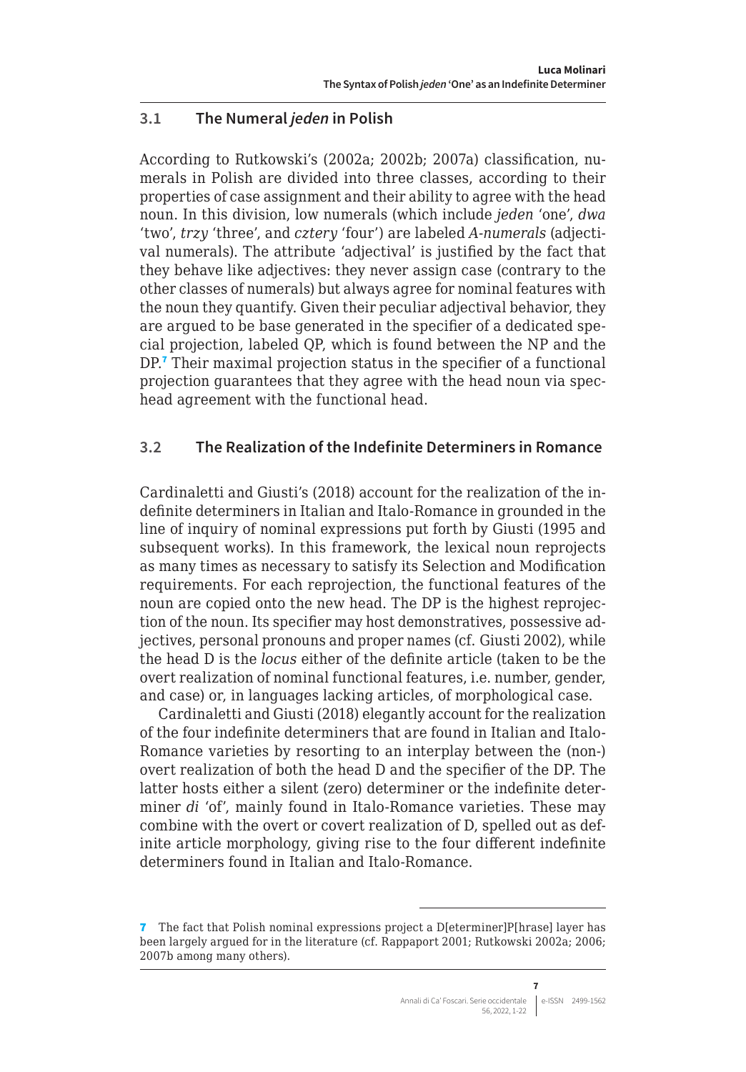# <span id="page-6-0"></span>**3.1 The Numeral** *jeden* **in Polish**

According to Rutkowski's (2002a; 2002b; 2007a) classification, numerals in Polish are divided into three classes, according to their properties of case assignment and their ability to agree with the head noun. In this division, low numerals (which include *jeden* 'one', *dwa*  'two', *trzy* 'three', and *cztery* 'four') are labeled *A-numerals* (adjectival numerals). The attribute 'adjectival' is justified by the fact that they behave like adjectives: they never assign case (contrary to the other classes of numerals) but always agree for nominal features with the noun they quantify. Given their peculiar adjectival behavior, they are argued to be base generated in the specifier of a dedicated special projection, labeled QP, which is found between the NP and the DP.<sup>7</sup> Their maximal projection status in the specifier of a functional projection guarantees that they agree with the head noun via spechead agreement with the functional head.

# **3.2 The Realization of the Indefinite Determiners in Romance**

Cardinaletti and Giusti's (2018) account for the realization of the indefinite determiners in Italian and Italo-Romance in grounded in the line of inquiry of nominal expressions put forth by Giusti (1995 and subsequent works). In this framework, the lexical noun reprojects as many times as necessary to satisfy its Selection and Modification requirements. For each reprojection, the functional features of the noun are copied onto the new head. The DP is the highest reprojection of the noun. Its specifier may host demonstratives, possessive adjectives, personal pronouns and proper names (cf. Giusti 2002), while the head D is the *locus* either of the definite article (taken to be the overt realization of nominal functional features, i.e. number, gender, and case) or, in languages lacking articles, of morphological case.

Cardinaletti and Giusti (2018) elegantly account for the realization of the four indefinite determiners that are found in Italian and Italo-Romance varieties by resorting to an interplay between the (non-) overt realization of both the head D and the specifier of the DP. The latter hosts either a silent (zero) determiner or the indefinite determiner *di* 'of', mainly found in Italo-Romance varieties. These may combine with the overt or covert realization of D, spelled out as definite article morphology, giving rise to the four different indefinite determiners found in Italian and Italo-Romance.

<sup>7</sup> The fact that Polish nominal expressions project a D[eterminer]P[hrase] layer has been largely argued for in the literature (cf. Rappaport 2001; Rutkowski 2002a; 2006; 2007b among many others).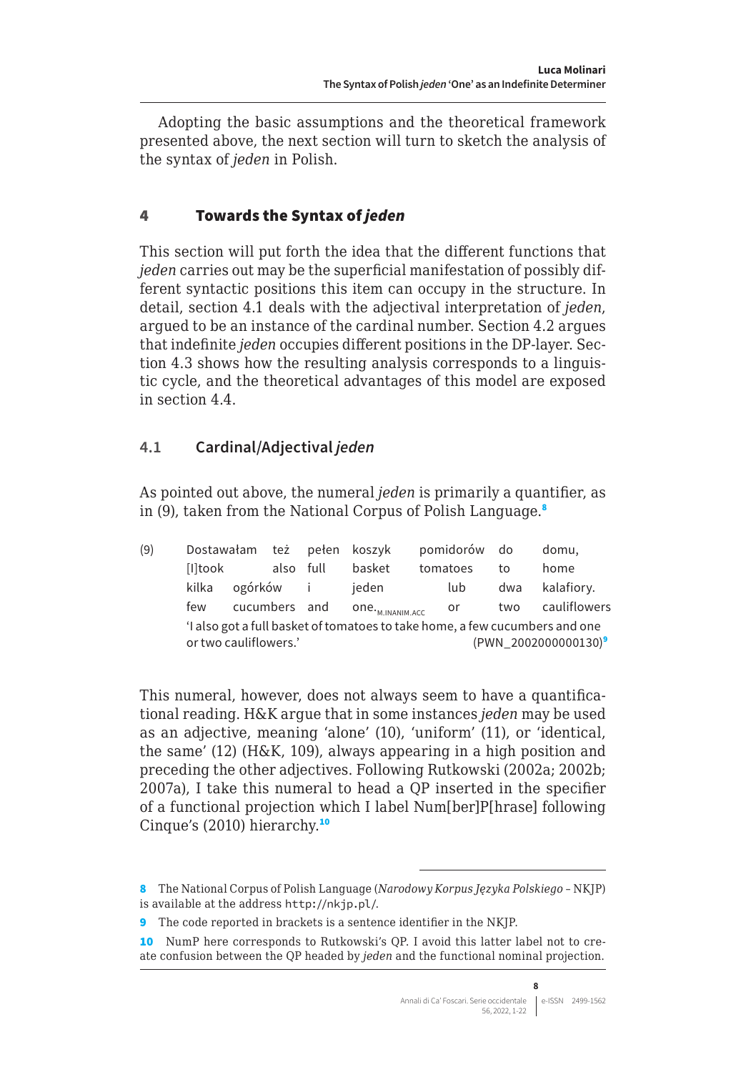<span id="page-7-0"></span>Adopting the basic assumptions and the theoretical framework presented above, the next section will turn to sketch the analysis of the syntax of *jeden* in Polish.

# 4 Towards the Syntax of *jeden*

This section will put forth the idea that the different functions that *jeden* carries out may be the superficial manifestation of possibly different syntactic positions this item can occupy in the structure. In detail, section 4.1 deals with the adjectival interpretation of *jeden*, argued to be an instance of the cardinal number. Section 4.2 argues that indefinite *jeden* occupies different positions in the DP-layer. Section 4.3 shows how the resulting analysis corresponds to a linguistic cycle, and the theoretical advantages of this model are exposed in section 4.4.

# **4.1 Cardinal/Adjectival** *jeden*

As pointed out above, the numeral *jeden* is primarily a quantifier, as in (9), taken from the National Corpus of Polish Language.<sup>8</sup>

| (9) |                       |               |           | Dostawałam też pełen koszyk  | pomidorów do |     | domu,                                                                       |
|-----|-----------------------|---------------|-----------|------------------------------|--------------|-----|-----------------------------------------------------------------------------|
|     | [I]took               |               | also full | basket                       | tomatoes     | to  | home                                                                        |
|     | kilka                 | ogórków i     |           | jeden                        | lub          | dwa | kalafiory.                                                                  |
|     | few                   | cucumbers and |           | ONE. <sub>M.INANIM.ACC</sub> | - or         | two | cauliflowers                                                                |
|     |                       |               |           |                              |              |     | 'I also got a full basket of tomatoes to take home, a few cucumbers and one |
|     | or two cauliflowers.' |               |           |                              |              |     | (PWN 2002000000130) <sup>9</sup>                                            |

This numeral, however, does not always seem to have a quantificational reading. H&K argue that in some instances *jeden* may be used as an adjective, meaning 'alone' (10), 'uniform' (11), or 'identical, the same' (12) (H&K, 109), always appearing in a high position and preceding the other adjectives. Following Rutkowski (2002a; 2002b; 2007a), I take this numeral to head a QP inserted in the specifier of a functional projection which I label Num[ber]P[hrase] following Cinque's (2010) hierarchy.<sup>10</sup>

<sup>8</sup> The National Corpus of Polish Language (*Narodowy Korpus Języka Polskiego* – NKJP) is available at the address <http://nkjp.pl/>.

<sup>9</sup> The code reported in brackets is a sentence identifier in the NKJP.

<sup>10</sup> NumP here corresponds to Rutkowski's QP. I avoid this latter label not to create confusion between the QP headed by *jeden* and the functional nominal projection.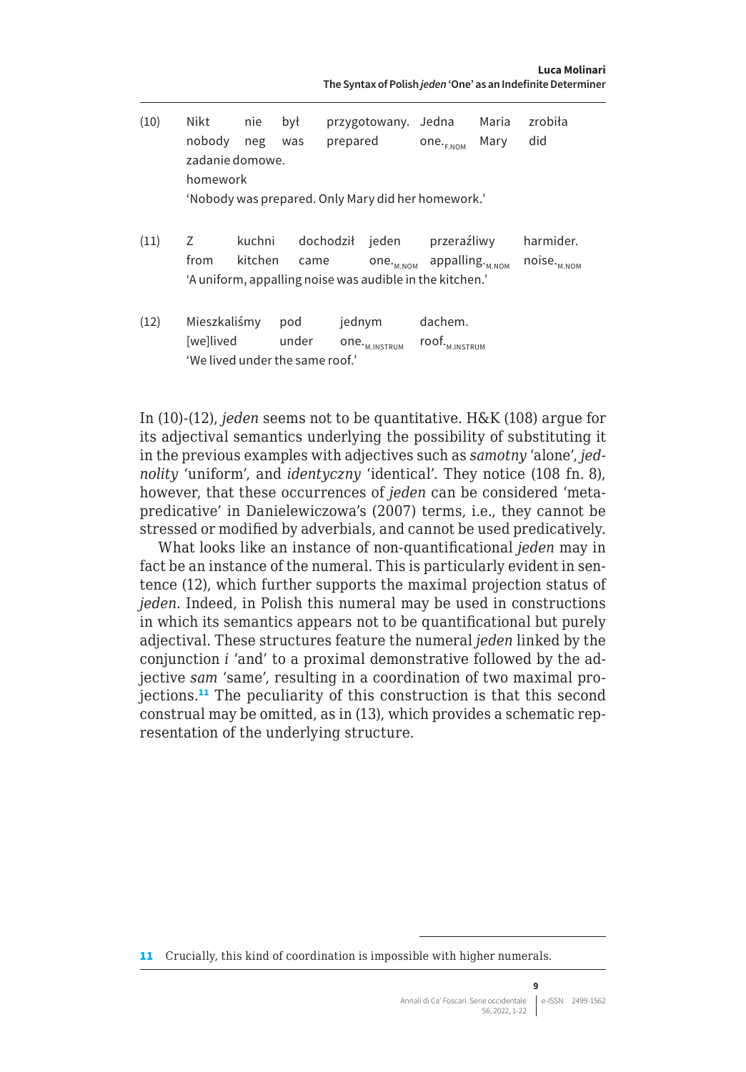| (10) | Nikt                            | nie     | był   |           | przygotowany. Jedna       |                                                          | Maria | zrobiła             |
|------|---------------------------------|---------|-------|-----------|---------------------------|----------------------------------------------------------|-------|---------------------|
|      | nobody                          | neg     | was   | prepared  |                           | one. <sub>ENOM</sub>                                     | Mary  | did                 |
|      | zadanie domowe.                 |         |       |           |                           |                                                          |       |                     |
|      | homework                        |         |       |           |                           |                                                          |       |                     |
|      |                                 |         |       |           |                           | 'Nobody was prepared. Only Mary did her homework.'       |       |                     |
| (11) | Ζ                               | kuchni  |       | dochodził | ieden                     | przeraźliwy                                              |       | harmider.           |
|      | from                            | kitchen | came  |           | $one.$ $M_{M,NOM}$        | appalling. <sub>M.NOM</sub>                              |       | $noise_{_{M. NOM}}$ |
|      |                                 |         |       |           |                           | 'A uniform, appalling noise was audible in the kitchen.' |       |                     |
|      | Mieszkaliśmy                    |         |       |           |                           | dachem.                                                  |       |                     |
| (12) |                                 |         | pod   | jednym    |                           |                                                          |       |                     |
|      | [we]lived                       |         | under |           | one. <sub>M.INSTRUM</sub> | $\mathsf{root}_{\text{\tiny{M.INSTRUM}}}$                |       |                     |
|      | 'We lived under the same roof.' |         |       |           |                           |                                                          |       |                     |

In (10)-(12), *jeden* seems not to be quantitative. H&K (108) argue for its adjectival semantics underlying the possibility of substituting it in the previous examples with adjectives such as *samotny* 'alone', *jednolity* 'uniform', and *identyczny* 'identical'. They notice (108 fn. 8), however, that these occurrences of *jeden* can be considered 'metapredicative' in Danielewiczowa's (2007) terms, i.e., they cannot be stressed or modified by adverbials, and cannot be used predicatively.

What looks like an instance of non-quantificational *jeden* may in fact be an instance of the numeral. This is particularly evident in sentence (12), which further supports the maximal projection status of *jeden*. Indeed, in Polish this numeral may be used in constructions in which its semantics appears not to be quantificational but purely adjectival. These structures feature the numeral *jeden* linked by the conjunction *i* 'and' to a proximal demonstrative followed by the adjective *sam* 'same', resulting in a coordination of two maximal projections.<sup>11</sup> The peculiarity of this construction is that this second construal may be omitted, as in (13), which provides a schematic representation of the underlying structure.

**9**

<sup>11</sup> Crucially, this kind of coordination is impossible with higher numerals.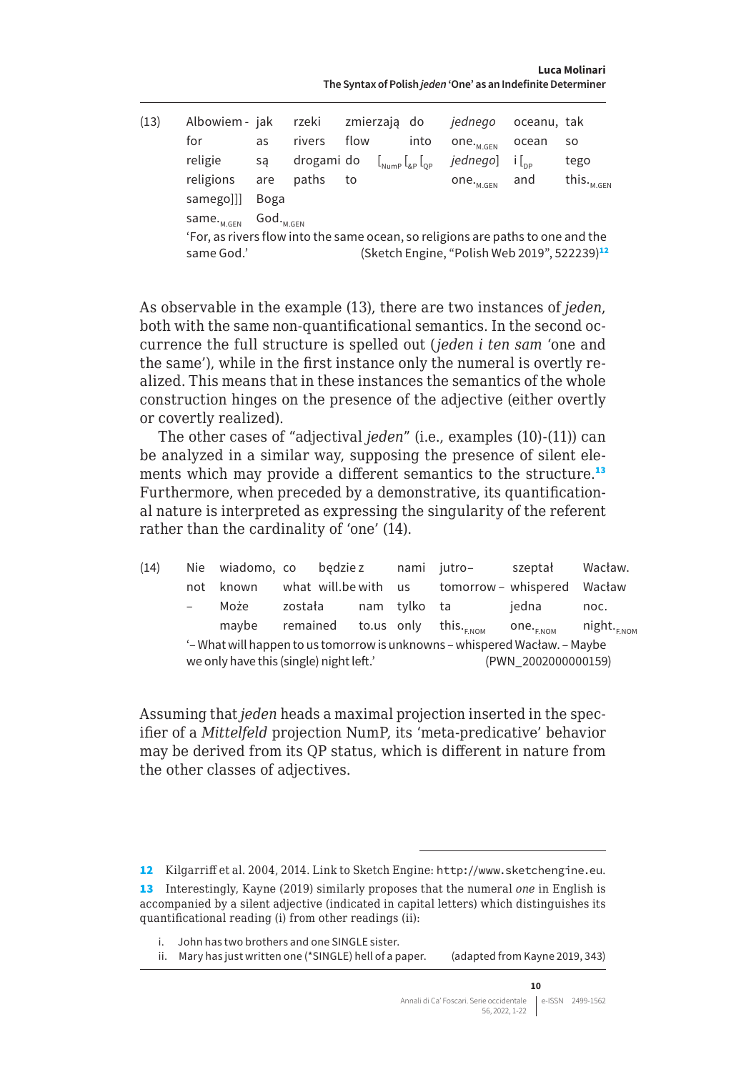| (13) | Albowiem - jak                                                                                |                                     | rzeki      | zmierzają do |                                 | jednego                                                  | oceanu, tak |                         |
|------|-----------------------------------------------------------------------------------------------|-------------------------------------|------------|--------------|---------------------------------|----------------------------------------------------------|-------------|-------------------------|
|      | for                                                                                           | as                                  | rivers     | flow         | into                            | one. $_{\tiny \textsf{M.GEN}}$                           | ocean       | SO.                     |
|      | religie                                                                                       | sa                                  | drogami do |              | $\left.\right _{\text{Number}}$ | jednego]                                                 |             | tego                    |
|      | religions                                                                                     | are                                 | paths      | to           |                                 | $one.$ $M.GEN$                                           | and         | this. $\ldots$<br>M.GFN |
|      | samego]]]                                                                                     | Boga                                |            |              |                                 |                                                          |             |                         |
|      | same. <sub>M.GEN</sub>                                                                        | $\mathsf{God.}_{_{\mathsf{M.GEN}}}$ |            |              |                                 |                                                          |             |                         |
|      | 'For, as rivers flow into the same ocean, so religions are paths to one and the<br>same God.' |                                     |            |              |                                 | (Sketch Engine, "Polish Web 2019", 522239) <sup>12</sup> |             |                         |

As observable in the example (13), there are two instances of *jeden*, both with the same non-quantificational semantics. In the second occurrence the full structure is spelled out (*jeden i ten sam* 'one and the same'), while in the first instance only the numeral is overtly realized. This means that in these instances the semantics of the whole construction hinges on the presence of the adjective (either overtly or covertly realized).

The other cases of "adjectival *jeden*" (i.e., examples (10)-(11)) can be analyzed in a similar way, supposing the presence of silent elements which may provide a different semantics to the structure.<sup>13</sup> Furthermore, when preceded by a demonstrative, its quantificational nature is interpreted as expressing the singularity of the referent rather than the cardinality of 'one' (14).

| (14) |        | Nie wiadomo, co bedziez                     |         |  |              | nami jutro–                                                               | szeptał               | Wacław.                 |
|------|--------|---------------------------------------------|---------|--|--------------|---------------------------------------------------------------------------|-----------------------|-------------------------|
|      | not    | known                                       |         |  |              | what will.be with us tomorrow - whispered Wacław                          |                       |                         |
|      | $\sim$ | Może                                        | została |  | nam tylko ta |                                                                           | iedna                 | noc.                    |
|      |        | maybe remained to.us only this. $F_{F,NOM}$ |         |  |              |                                                                           | one. <sub>F.NOM</sub> | night. <sub>F.NOM</sub> |
|      |        |                                             |         |  |              | '-What will happen to us tomorrow is unknowns - whispered Wacław. - Maybe |                       |                         |
|      |        | we only have this (single) night left.'     |         |  |              |                                                                           | (PWN 2002000000159)   |                         |

Assuming that *jeden* heads a maximal projection inserted in the specifier of a *Mittelfeld* projection NumP, its 'meta-predicative' behavior may be derived from its QP status, which is different in nature from the other classes of adjectives.

12 Kilgarriff et al. 2004, 2014. Link to Sketch Engine: <http://www.sketchengine.eu>.

<sup>13</sup> Interestingly, Kayne (2019) similarly proposes that the numeral *one* in English is accompanied by a silent adjective (indicated in capital letters) which distinguishes its quantificational reading (i) from other readings (ii):

i. John has two brothers and one SINGLE sister.

ii. Mary has just written one (\*SINGLE) hell of a paper. (adapted from Kayne 2019, 343)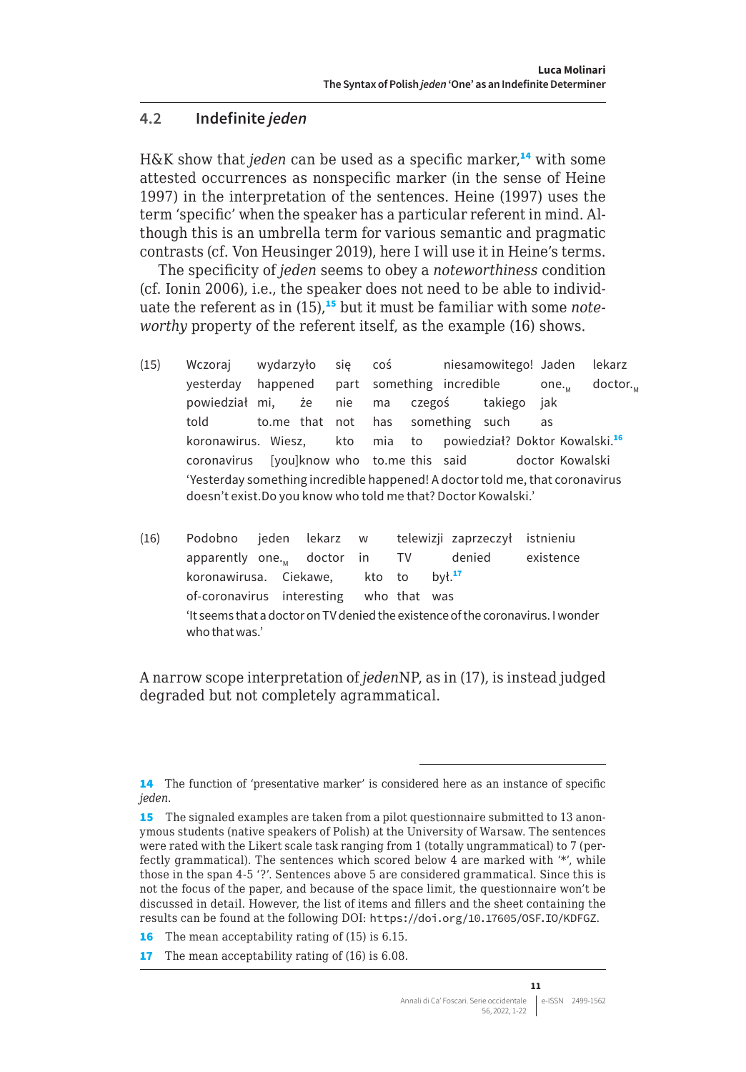#### <span id="page-10-0"></span>**4.2 Indefinite** *jeden*

H&K show that *jeden* can be used as a specific marker.<sup>14</sup> with some attested occurrences as nonspecific marker (in the sense of Heine 1997) in the interpretation of the sentences. Heine (1997) uses the term 'specific' when the speaker has a particular referent in mind. Although this is an umbrella term for various semantic and pragmatic contrasts (cf. Von Heusinger 2019), here I will use it in Heine's terms.

The specificity of *jeden* seems to obey a *noteworthiness* condition (cf. Ionin 2006), i.e., the speaker does not need to be able to individuate the referent as in (15),<sup>15</sup> but it must be familiar with some *noteworthy* property of the referent itself, as the example (16) shows.

- (15) Wczoraj wydarzyło się coś niesamowitego! Jaden lekarz yesterday happened part something incredible one... doctor... powiedział mi, że nie ma czegoś takiego jak told to.me that not has something such as koronawirus. Wiesz, kto mia to powiedział? Doktor Kowalski.<sup>16</sup> coronavirus [you]know who to.me this said doctor Kowalski 'Yesterday something incredible happened! A doctor told me, that coronavirus doesn't exist.Do you know who told me that? Doctor Kowalski.'
- (16) Podobno jeden lekarz w telewizji zaprzeczył istnieniu apparently one.<sub>M</sub> doctor in TV denied existence<br>koronawirusa. Ciekawe, kto to był.<sup>17</sup> koronawirusa. Ciekawe, kto to of-coronavirus interesting who that was 'It seems that a doctor on TV denied the existence of the coronavirus. I wonder who that was.'

A narrow scope interpretation of *jeden*NP, as in (17), is instead judged degraded but not completely agrammatical.

<sup>14</sup> The function of 'presentative marker' is considered here as an instance of specific *jeden*.

<sup>15</sup> The signaled examples are taken from a pilot questionnaire submitted to 13 anonymous students (native speakers of Polish) at the University of Warsaw. The sentences were rated with the Likert scale task ranging from 1 (totally ungrammatical) to 7 (perfectly grammatical). The sentences which scored below 4 are marked with '\*', while those in the span 4-5 '?'. Sentences above 5 are considered grammatical. Since this is not the focus of the paper, and because of the space limit, the questionnaire won't be discussed in detail. However, the list of items and fillers and the sheet containing the results can be found at the following DOI: <https://doi.org/10.17605/OSF.IO/KDFGZ>.

<sup>16</sup> The mean acceptability rating of (15) is 6.15.

<sup>17</sup> The mean acceptability rating of (16) is 6.08.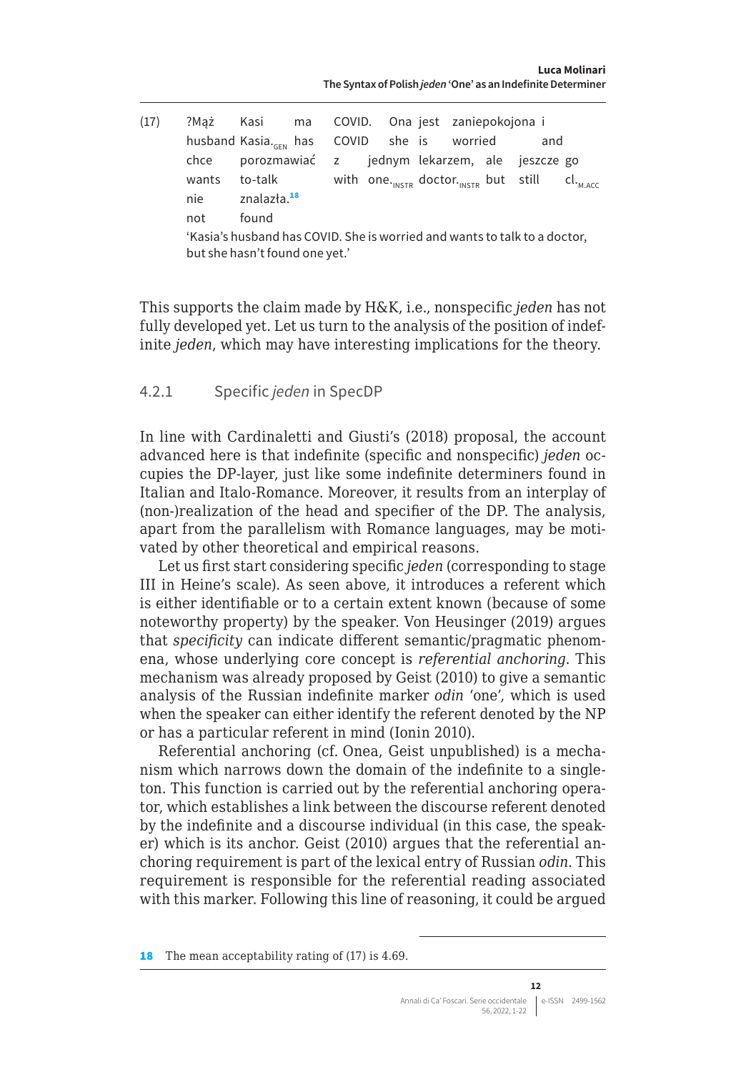<span id="page-11-0"></span>

| (17) |       | ?Mąż Kasi ma COVID. Ona jest zaniepokojona i                                               |  |  |  |  |     |  |
|------|-------|--------------------------------------------------------------------------------------------|--|--|--|--|-----|--|
|      |       | husband Kasia. <sub>GEN</sub> has COVID she is worried                                     |  |  |  |  | and |  |
|      |       | chce porozmawiać z jednym lekarzem, ale jeszcze go                                         |  |  |  |  |     |  |
|      | wants | to-talk with one. <sub>INSTR</sub> doctor. <sub>INSTR</sub> but still cl. <sub>M.Acc</sub> |  |  |  |  |     |  |
|      | nie   | znalazła. <sup>18</sup>                                                                    |  |  |  |  |     |  |
|      | not   | found                                                                                      |  |  |  |  |     |  |
|      |       | .                                                                                          |  |  |  |  |     |  |

'Kasia's husband has COVID. She is worried and wants to talk to a doctor, but she hasn't found one yet.'

This supports the claim made by H&K, i.e., nonspecific *jeden* has not fully developed yet. Let us turn to the analysis of the position of indefinite *jeden*, which may have interesting implications for the theory.

#### 4.2.1 Specific *jeden* in SpecDP

In line with Cardinaletti and Giusti's (2018) proposal, the account advanced here is that indefinite (specific and nonspecific) *jeden* occupies the DP-layer, just like some indefinite determiners found in Italian and Italo-Romance. Moreover, it results from an interplay of (non-)realization of the head and specifier of the DP. The analysis, apart from the parallelism with Romance languages, may be motivated by other theoretical and empirical reasons.

Let us first start considering specific *jeden* (corresponding to stage III in Heine's scale). As seen above, it introduces a referent which is either identifiable or to a certain extent known (because of some noteworthy property) by the speaker. Von Heusinger (2019) argues that *specificity* can indicate different semantic/pragmatic phenomena, whose underlying core concept is *referential anchoring*. This mechanism was already proposed by Geist (2010) to give a semantic analysis of the Russian indefinite marker *odin* 'one', which is used when the speaker can either identify the referent denoted by the NP or has a particular referent in mind (Ionin 2010).

Referential anchoring (cf. Onea, Geist unpublished) is a mechanism which narrows down the domain of the indefinite to a singleton. This function is carried out by the referential anchoring operator, which establishes a link between the discourse referent denoted by the indefinite and a discourse individual (in this case, the speaker) which is its anchor. Geist (2010) argues that the referential anchoring requirement is part of the lexical entry of Russian *odin*. This requirement is responsible for the referential reading associated with this marker. Following this line of reasoning, it could be argued

18 The mean acceptability rating of (17) is 4.69.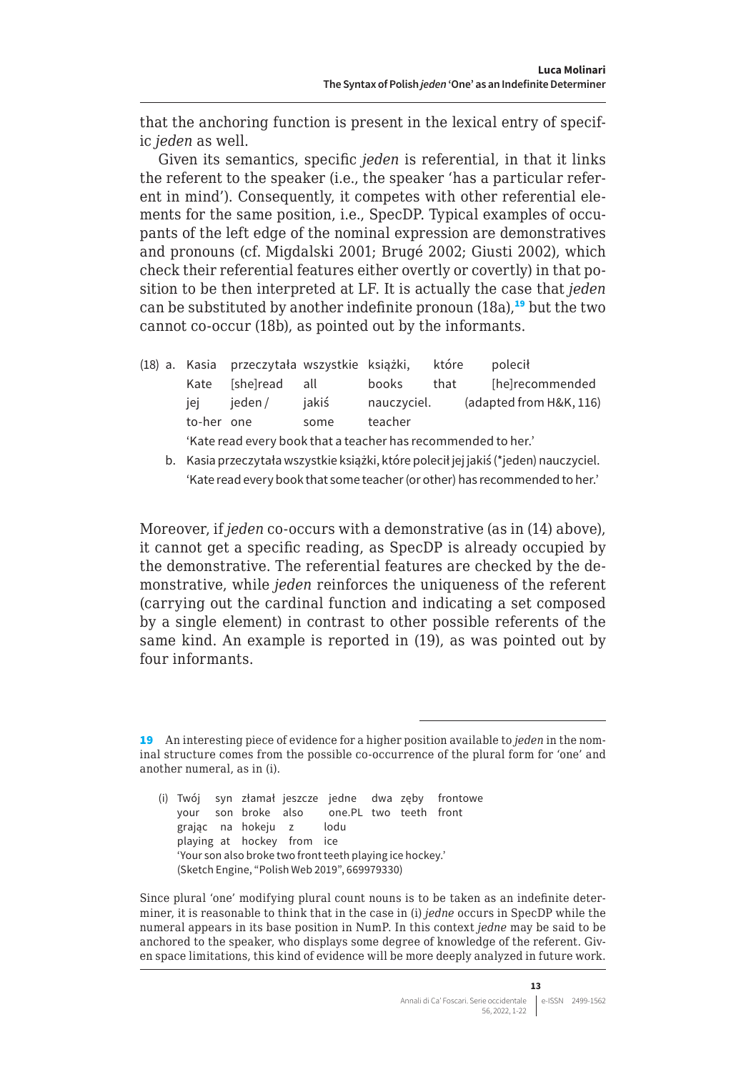that the anchoring function is present in the lexical entry of specific *jeden* as well.

Given its semantics, specific *jeden* is referential, in that it links the referent to the speaker (i.e., the speaker 'has a particular referent in mind'). Consequently, it competes with other referential elements for the same position, i.e., SpecDP. Typical examples of occupants of the left edge of the nominal expression are demonstratives and pronouns (cf. Migdalski 2001; Brugé 2002; Giusti 2002), which check their referential features either overtly or covertly) in that position to be then interpreted at LF. It is actually the case that *jeden*  can be substituted by another indefinite pronoun  $(18a)$ ,<sup>19</sup> but the two cannot co-occur (18b), as pointed out by the informants.

|            | (18) a. Kasia przeczytała wszystkie książki,                  |       |             | które | polecił                 |
|------------|---------------------------------------------------------------|-------|-------------|-------|-------------------------|
| Kate       | [she]read all                                                 |       | books       | that  | [he]recommended         |
| iei        | ieden /                                                       | iakiś | nauczyciel. |       | (adapted from H&K, 116) |
| to-her one |                                                               | some  | teacher     |       |                         |
|            | 'Kate read every book that a teacher has recommended to her.' |       |             |       |                         |

b. Kasia przeczytała wszystkie książki, które polecił jej jakiś (\*jeden) nauczyciel. 'Kate read every book that some teacher (or other) has recommended to her.'

Moreover, if *jeden* co-occurs with a demonstrative (as in (14) above), it cannot get a specific reading, as SpecDP is already occupied by the demonstrative. The referential features are checked by the demonstrative, while *jeden* reinforces the uniqueness of the referent (carrying out the cardinal function and indicating a set composed by a single element) in contrast to other possible referents of the same kind. An example is reported in (19), as was pointed out by four informants.

Since plural 'one' modifying plural count nouns is to be taken as an indefinite determiner, it is reasonable to think that in the case in (i) *jedne* occurs in SpecDP while the numeral appears in its base position in NumP. In this context *jedne* may be said to be anchored to the speaker, who displays some degree of knowledge of the referent. Given space limitations, this kind of evidence will be more deeply analyzed in future work.

<sup>19</sup> An interesting piece of evidence for a higher position available to *jeden* in the nominal structure comes from the possible co-occurrence of the plural form for 'one' and another numeral, as in (i).

<sup>(</sup>i) Twój syn złamał jeszcze jedne dwa zęby frontowe your son broke also one.PL two teeth front grając na hokeju z lodu playing at hockey from ice 'Your son also broke two front teeth playing ice hockey.' (Sketch Engine, "Polish Web 2019", 669979330)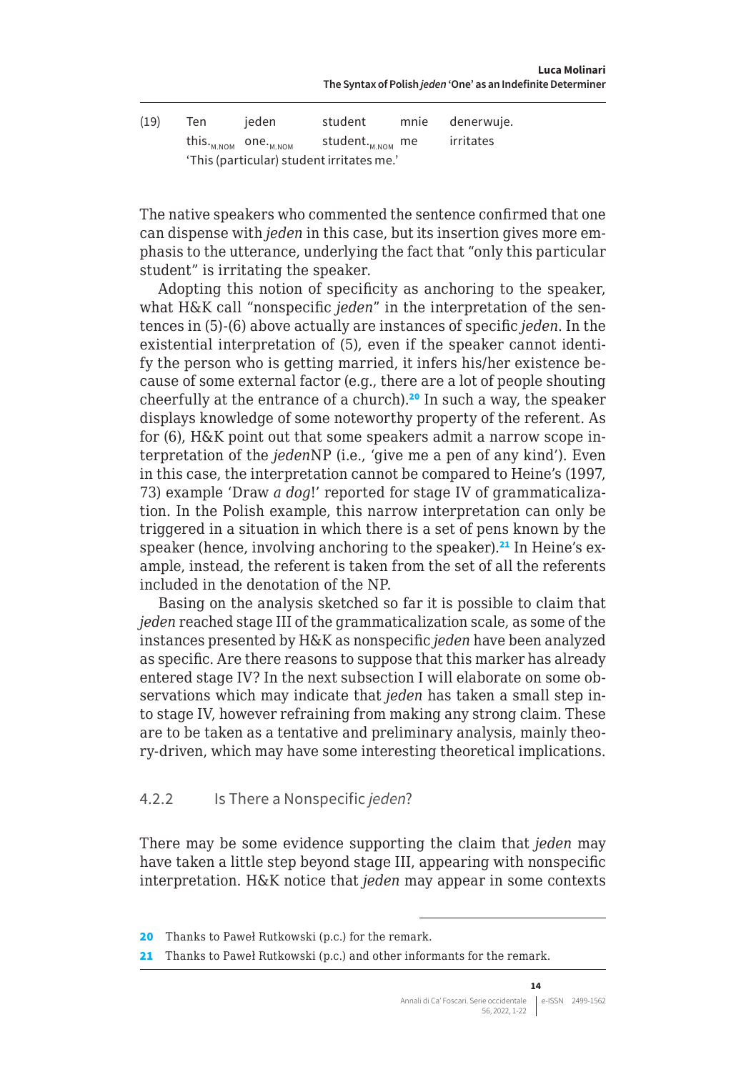<span id="page-13-0"></span>

| (19) | Ten | jeden                                        | student                                   | mnie | denerwuje. |
|------|-----|----------------------------------------------|-------------------------------------------|------|------------|
|      |     | this. <sub>м.ном</sub> one. <sub>м.ном</sub> | student. <sub>м.NOM</sub> me              |      | irritates  |
|      |     |                                              | 'This (particular) student irritates me.' |      |            |

The native speakers who commented the sentence confirmed that one can dispense with *jeden* in this case, but its insertion gives more emphasis to the utterance, underlying the fact that "only this particular student" is irritating the speaker.

Adopting this notion of specificity as anchoring to the speaker, what H&K call "nonspecific *jeden*" in the interpretation of the sentences in (5)-(6) above actually are instances of specific *jeden*. In the existential interpretation of (5), even if the speaker cannot identify the person who is getting married, it infers his/her existence because of some external factor (e.g., there are a lot of people shouting cheerfully at the entrance of a church).<sup>20</sup> In such a way, the speaker displays knowledge of some noteworthy property of the referent. As for (6), H&K point out that some speakers admit a narrow scope interpretation of the *jeden*NP (i.e., 'give me a pen of any kind'). Even in this case, the interpretation cannot be compared to Heine's (1997, 73) example 'Draw *a dog*!' reported for stage IV of grammaticalization. In the Polish example, this narrow interpretation can only be triggered in a situation in which there is a set of pens known by the speaker (hence, involving anchoring to the speaker).<sup>21</sup> In Heine's example, instead, the referent is taken from the set of all the referents included in the denotation of the NP.

Basing on the analysis sketched so far it is possible to claim that *jeden* reached stage III of the grammaticalization scale, as some of the instances presented by H&K as nonspecific *jeden* have been analyzed as specific. Are there reasons to suppose that this marker has already entered stage IV? In the next subsection I will elaborate on some observations which may indicate that *jeden* has taken a small step into stage IV, however refraining from making any strong claim. These are to be taken as a tentative and preliminary analysis, mainly theory-driven, which may have some interesting theoretical implications.

#### 4.2.2 Is There a Nonspecific *jeden*?

There may be some evidence supporting the claim that *jeden* may have taken a little step beyond stage III, appearing with nonspecific interpretation. H&K notice that *jeden* may appear in some contexts

<sup>20</sup> Thanks to Paweł Rutkowski (p.c.) for the remark.

<sup>21</sup> Thanks to Paweł Rutkowski (p.c.) and other informants for the remark.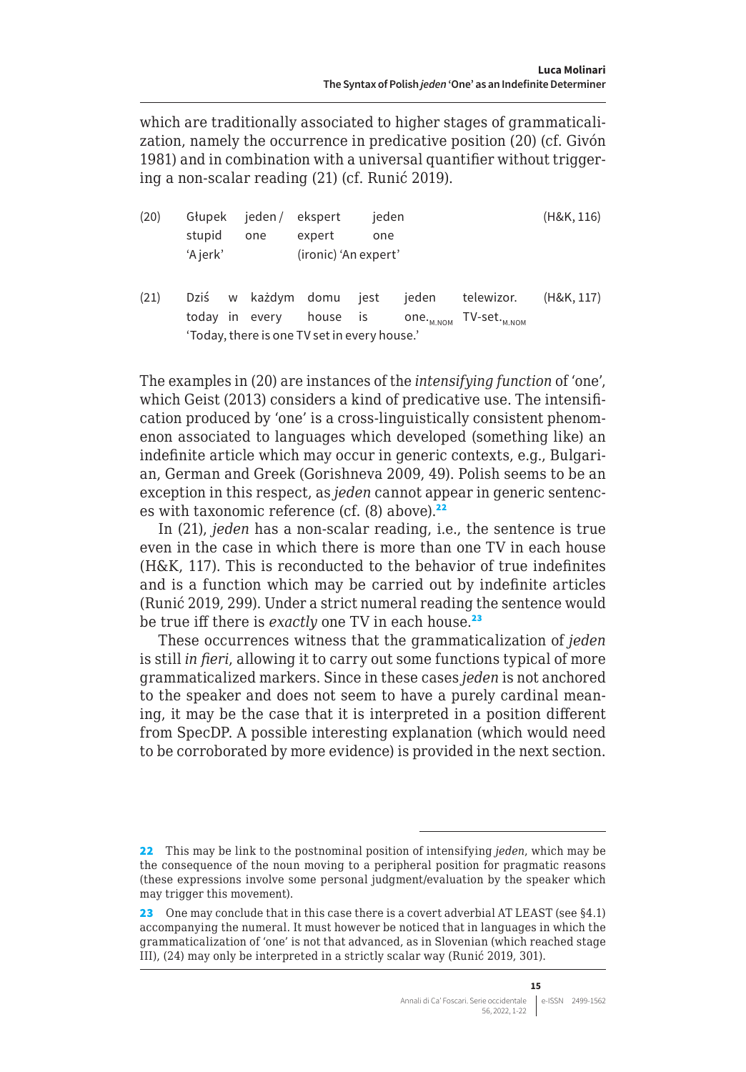<span id="page-14-0"></span>which are traditionally associated to higher stages of grammaticalization, namely the occurrence in predicative position (20) (cf. Givón 1981) and in combination with a universal quantifier without triggering a non-scalar reading (21) (cf. Runić 2019).

| (20) | Głupek                                                                                         |  | jeden / ekspert    |                      | jeden |       | (H&K, 116) |            |
|------|------------------------------------------------------------------------------------------------|--|--------------------|----------------------|-------|-------|------------|------------|
|      | stupid                                                                                         |  | one                | expert               | one   |       |            |            |
|      | 'A jerk'                                                                                       |  |                    | (ironic) 'An expert' |       |       |            |            |
| (21) | today in every                                                                                 |  | Dziś w każdym domu | house is             | iest  | jeden | telewizor. | (H&K, 117) |
|      | one. <sub>M.NOM</sub> TV-set. <sub>M.NOM</sub><br>'Today, there is one TV set in every house.' |  |                    |                      |       |       |            |            |

The examples in (20) are instances of the *intensifying function* of 'one', which Geist (2013) considers a kind of predicative use. The intensification produced by 'one' is a cross-linguistically consistent phenomenon associated to languages which developed (something like) an indefinite article which may occur in generic contexts, e.g., Bulgarian, German and Greek (Gorishneva 2009, 49). Polish seems to be an exception in this respect, as *jeden* cannot appear in generic sentences with taxonomic reference (cf. (8) above).<sup>22</sup>

In (21), *jeden* has a non-scalar reading, i.e., the sentence is true even in the case in which there is more than one TV in each house (H&K, 117). This is reconducted to the behavior of true indefinites and is a function which may be carried out by indefinite articles (Runić 2019, 299). Under a strict numeral reading the sentence would be true iff there is *exactly* one TV in each house.<sup>23</sup>

These occurrences witness that the grammaticalization of *jeden* is still *in fieri*, allowing it to carry out some functions typical of more grammaticalized markers. Since in these cases *jeden* is not anchored to the speaker and does not seem to have a purely cardinal meaning, it may be the case that it is interpreted in a position different from SpecDP. A possible interesting explanation (which would need to be corroborated by more evidence) is provided in the next section.

<sup>22</sup> This may be link to the postnominal position of intensifying *jeden*, which may be the consequence of the noun moving to a peripheral position for pragmatic reasons (these expressions involve some personal judgment/evaluation by the speaker which may trigger this movement).

<sup>23</sup> One may conclude that in this case there is a covert adverbial AT LEAST (see §4.1) accompanying the numeral. It must however be noticed that in languages in which the grammaticalization of 'one' is not that advanced, as in Slovenian (which reached stage III), (24) may only be interpreted in a strictly scalar way (Runić 2019, 301).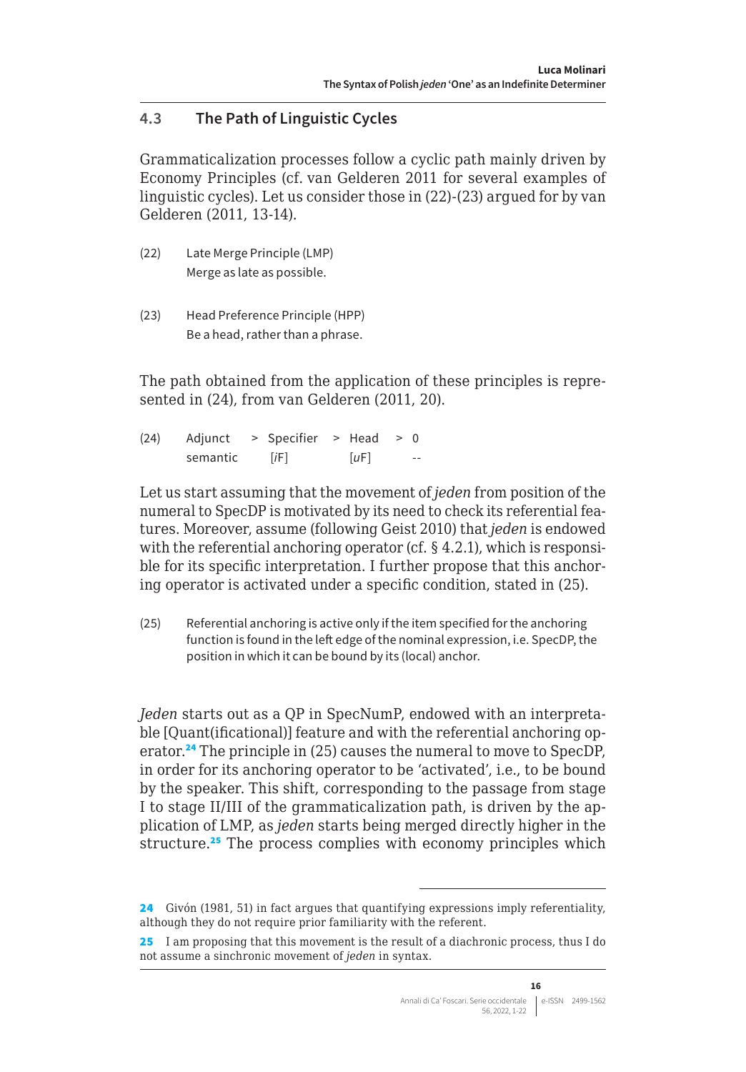# **4.3 The Path of Linguistic Cycles**

Grammaticalization processes follow a cyclic path mainly driven by Economy Principles (cf. van Gelderen 2011 for several examples of linguistic cycles). Let us consider those in (22)-(23) argued for by van Gelderen (2011, 13-14).

- (22) Late Merge Principle (LMP) Merge as late as possible.
- (23) Head Preference Principle (HPP) Be a head, rather than a phrase.

The path obtained from the application of these principles is represented in (24), from van Gelderen (2011, 20).

(24) Adjunct > Specifier > Head > 0 semantic [*i*F] [*uF*] --

Let us start assuming that the movement of *jeden* from position of the numeral to SpecDP is motivated by its need to check its referential features. Moreover, assume (following Geist 2010) that *jeden* is endowed with the referential anchoring operator (cf. § 4.2.1), which is responsible for its specific interpretation. I further propose that this anchoring operator is activated under a specific condition, stated in (25).

(25) Referential anchoring is active only if the item specified for the anchoring function is found in the left edge of the nominal expression, i.e. SpecDP, the position in which it can be bound by its (local) anchor.

*Jeden* starts out as a QP in SpecNumP, endowed with an interpretable [Quant(ificational)] feature and with the referential anchoring operator.<sup>24</sup> The principle in (25) causes the numeral to move to SpecDP, in order for its anchoring operator to be 'activated', i.e., to be bound by the speaker. This shift, corresponding to the passage from stage I to stage II/III of the grammaticalization path, is driven by the application of LMP, as *jeden* starts being merged directly higher in the structure.<sup>25</sup> The process complies with economy principles which

<sup>24</sup> Givón (1981, 51) in fact argues that quantifying expressions imply referentiality, although they do not require prior familiarity with the referent.

<sup>25</sup> I am proposing that this movement is the result of a diachronic process, thus I do not assume a sinchronic movement of *jeden* in syntax.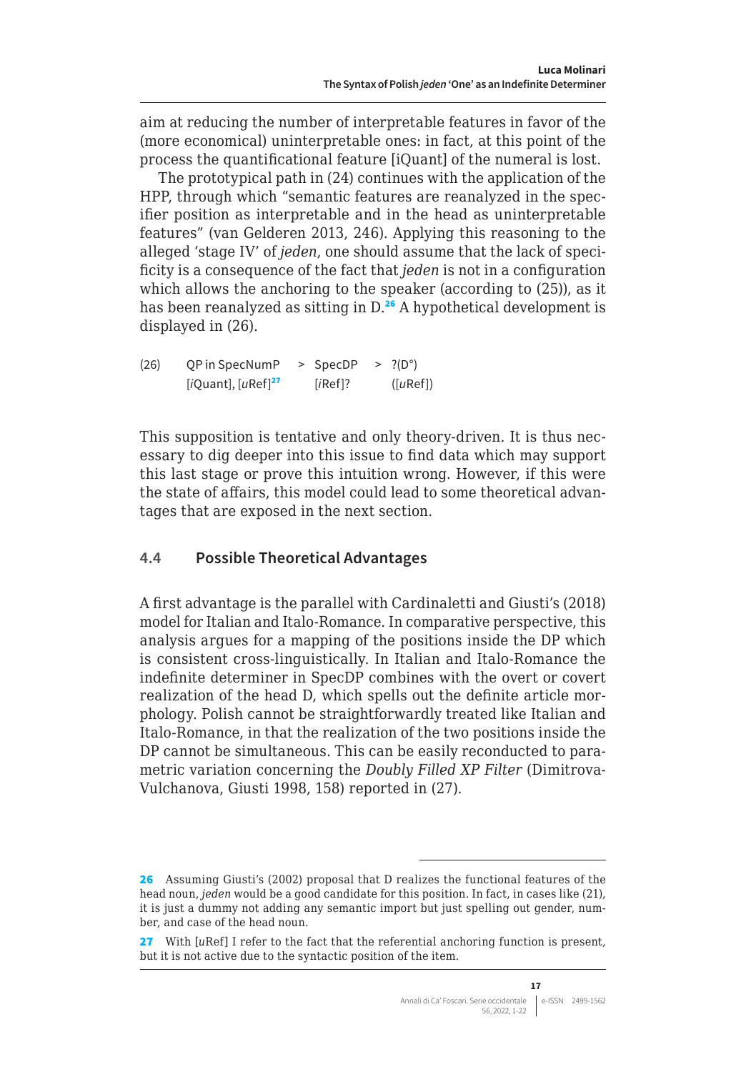<span id="page-16-0"></span>aim at reducing the number of interpretable features in favor of the (more economical) uninterpretable ones: in fact, at this point of the process the quantificational feature [iQuant] of the numeral is lost.

The prototypical path in (24) continues with the application of the HPP, through which "semantic features are reanalyzed in the specifier position as interpretable and in the head as uninterpretable features" (van Gelderen 2013, 246). Applying this reasoning to the alleged 'stage IV' of *jeden*, one should assume that the lack of specificity is a consequence of the fact that *jeden* is not in a configuration which allows the anchoring to the speaker (according to (25)), as it has been reanalyzed as sitting in D.<sup>26</sup> A hypothetical development is displayed in (26).

(26) OP in SpecNumP  $\geq$  SpecDP  $\geq$  ?(D°) [*i*Quant], [*u*Ref]<sup>27</sup> [*i*Ref]? ([*u*Ref])

This supposition is tentative and only theory-driven. It is thus necessary to dig deeper into this issue to find data which may support this last stage or prove this intuition wrong. However, if this were the state of affairs, this model could lead to some theoretical advantages that are exposed in the next section.

#### **4.4 Possible Theoretical Advantages**

A first advantage is the parallel with Cardinaletti and Giusti's (2018) model for Italian and Italo-Romance. In comparative perspective, this analysis argues for a mapping of the positions inside the DP which is consistent cross-linguistically. In Italian and Italo-Romance the indefinite determiner in SpecDP combines with the overt or covert realization of the head D, which spells out the definite article morphology. Polish cannot be straightforwardly treated like Italian and Italo-Romance, in that the realization of the two positions inside the DP cannot be simultaneous. This can be easily reconducted to parametric variation concerning the *Doubly Filled XP Filter* (Dimitrova-Vulchanova, Giusti 1998, 158) reported in (27).

<sup>26</sup> Assuming Giusti's (2002) proposal that D realizes the functional features of the head noun, *jeden* would be a good candidate for this position. In fact, in cases like (21), it is just a dummy not adding any semantic import but just spelling out gender, number, and case of the head noun.

<sup>27</sup> With [*uRef]* I refer to the fact that the referential anchoring function is present, but it is not active due to the syntactic position of the item.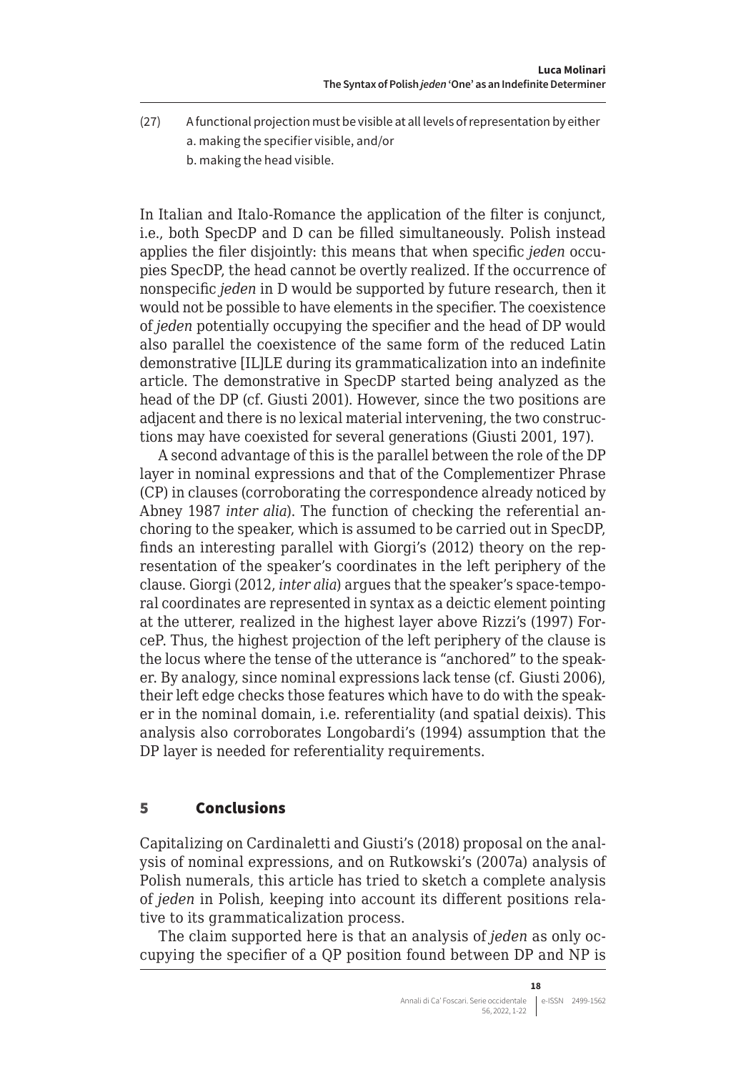- <span id="page-17-0"></span>(27) A functional projection must be visible at all levels of representation by either a. making the specifier visible, and/or
	- b. making the head visible.

In Italian and Italo-Romance the application of the filter is conjunct, i.e., both SpecDP and D can be filled simultaneously. Polish instead applies the filer disjointly: this means that when specific *jeden* occupies SpecDP, the head cannot be overtly realized. If the occurrence of nonspecific *jeden* in D would be supported by future research, then it would not be possible to have elements in the specifier. The coexistence of *jeden* potentially occupying the specifier and the head of DP would also parallel the coexistence of the same form of the reduced Latin demonstrative [IL]LE during its grammaticalization into an indefinite article. The demonstrative in SpecDP started being analyzed as the head of the DP (cf. Giusti 2001). However, since the two positions are adjacent and there is no lexical material intervening, the two constructions may have coexisted for several generations (Giusti 2001, 197).

A second advantage of this is the parallel between the role of the DP layer in nominal expressions and that of the Complementizer Phrase (CP) in clauses (corroborating the correspondence already noticed by Abney 1987 *inter alia*). The function of checking the referential anchoring to the speaker, which is assumed to be carried out in SpecDP, finds an interesting parallel with Giorgi's (2012) theory on the representation of the speaker's coordinates in the left periphery of the clause. Giorgi (2012, *inter alia*) argues that the speaker's space-temporal coordinates are represented in syntax as a deictic element pointing at the utterer, realized in the highest layer above Rizzi's (1997) ForceP. Thus, the highest projection of the left periphery of the clause is the locus where the tense of the utterance is "anchored" to the speaker. By analogy, since nominal expressions lack tense (cf. Giusti 2006), their left edge checks those features which have to do with the speaker in the nominal domain, i.e. referentiality (and spatial deixis). This analysis also corroborates Longobardi's (1994) assumption that the DP layer is needed for referentiality requirements.

#### 5 Conclusions

Capitalizing on Cardinaletti and Giusti's (2018) proposal on the analysis of nominal expressions, and on Rutkowski's (2007a) analysis of Polish numerals, this article has tried to sketch a complete analysis of *jeden* in Polish, keeping into account its different positions relative to its grammaticalization process.

The claim supported here is that an analysis of *jeden* as only occupying the specifier of a QP position found between DP and NP is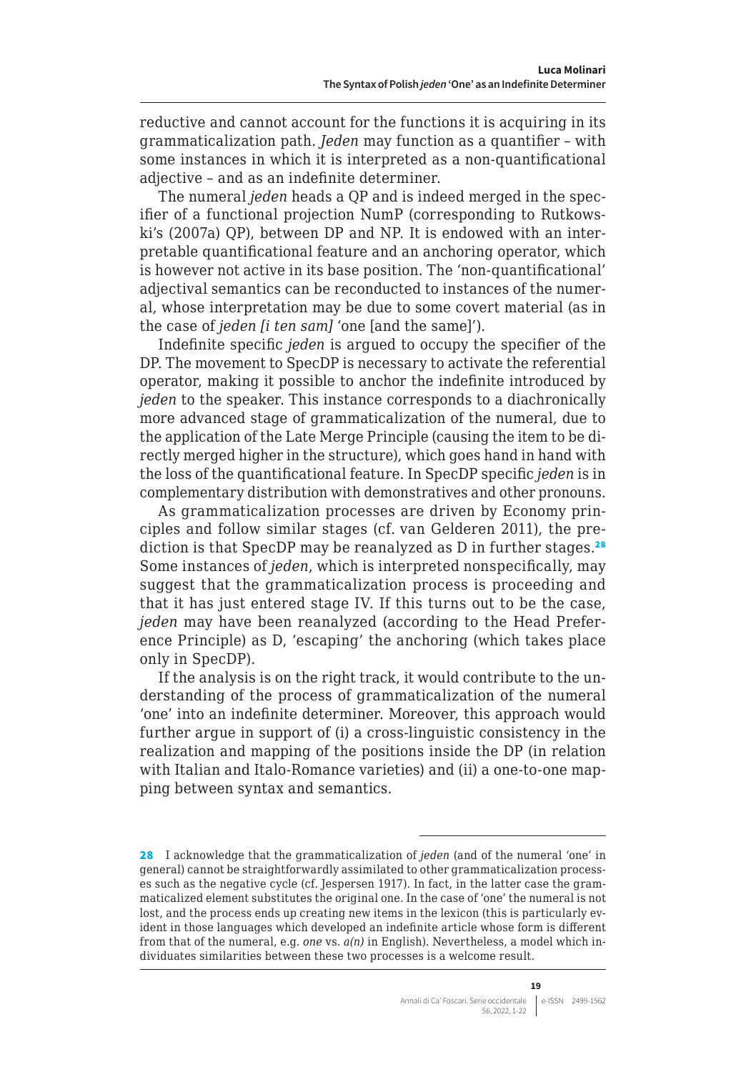reductive and cannot account for the functions it is acquiring in its grammaticalization path. *Jeden* may function as a quantifier – with some instances in which it is interpreted as a non-quantificational adjective – and as an indefinite determiner.

The numeral *jeden* heads a QP and is indeed merged in the specifier of a functional projection NumP (corresponding to Rutkowski's (2007a) QP), between DP and NP. It is endowed with an interpretable quantificational feature and an anchoring operator, which is however not active in its base position. The 'non-quantificational' adjectival semantics can be reconducted to instances of the numeral, whose interpretation may be due to some covert material (as in the case of *jeden [i ten sam]* 'one [and the same]').

Indefinite specific *jeden* is argued to occupy the specifier of the DP. The movement to SpecDP is necessary to activate the referential operator, making it possible to anchor the indefinite introduced by *jeden* to the speaker. This instance corresponds to a diachronically more advanced stage of grammaticalization of the numeral, due to the application of the Late Merge Principle (causing the item to be directly merged higher in the structure), which goes hand in hand with the loss of the quantificational feature. In SpecDP specific *jeden* is in complementary distribution with demonstratives and other pronouns.

As grammaticalization processes are driven by Economy principles and follow similar stages (cf. van Gelderen 2011), the prediction is that SpecDP may be reanalyzed as D in further stages.<sup>28</sup> Some instances of *jeden*, which is interpreted nonspecifically, may suggest that the grammaticalization process is proceeding and that it has just entered stage IV. If this turns out to be the case, *jeden* may have been reanalyzed (according to the Head Preference Principle) as D, 'escaping' the anchoring (which takes place only in SpecDP).

If the analysis is on the right track, it would contribute to the understanding of the process of grammaticalization of the numeral 'one' into an indefinite determiner. Moreover, this approach would further argue in support of (i) a cross-linguistic consistency in the realization and mapping of the positions inside the DP (in relation with Italian and Italo-Romance varieties) and (ii) a one-to-one mapping between syntax and semantics.

<sup>28</sup> I acknowledge that the grammaticalization of *jeden* (and of the numeral 'one' in general) cannot be straightforwardly assimilated to other grammaticalization processes such as the negative cycle (cf. Jespersen 1917). In fact, in the latter case the grammaticalized element substitutes the original one. In the case of 'one' the numeral is not lost, and the process ends up creating new items in the lexicon (this is particularly evident in those languages which developed an indefinite article whose form is different from that of the numeral, e.g. *one* vs. *a(n)* in English). Nevertheless, a model which individuates similarities between these two processes is a welcome result.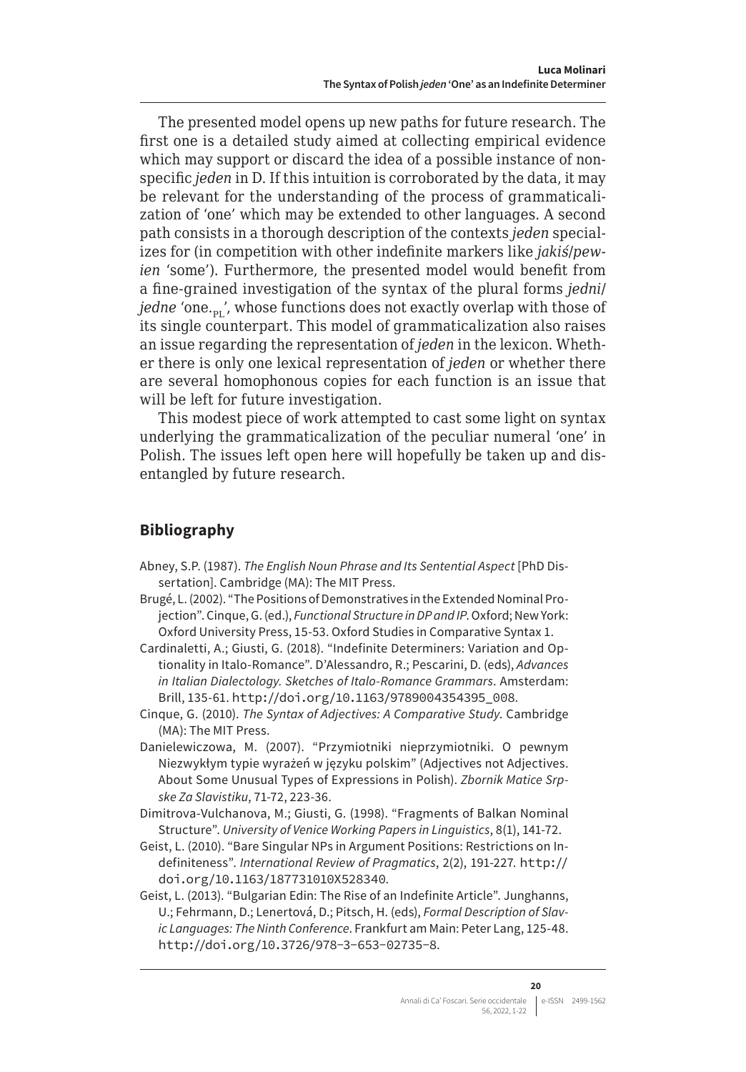The presented model opens up new paths for future research. The first one is a detailed study aimed at collecting empirical evidence which may support or discard the idea of a possible instance of nonspecific *jeden* in D. If this intuition is corroborated by the data, it may be relevant for the understanding of the process of grammaticalization of 'one' which may be extended to other languages. A second path consists in a thorough description of the contexts *jeden* specializes for (in competition with other indefinite markers like *jakiś*/*pewien* 'some'). Furthermore, the presented model would benefit from a fine-grained investigation of the syntax of the plural forms *jedni*/ *jedne* 'one.<sub>pr</sub>', whose functions does not exactly overlap with those of its single counterpart. This model of grammaticalization also raises an issue regarding the representation of *jeden* in the lexicon. Whether there is only one lexical representation of *jeden* or whether there are several homophonous copies for each function is an issue that will be left for future investigation.

This modest piece of work attempted to cast some light on syntax underlying the grammaticalization of the peculiar numeral 'one' in Polish. The issues left open here will hopefully be taken up and disentangled by future research.

# **Bibliography**

- Abney, S.P. (1987). *The English Noun Phrase and Its Sentential Aspect* [PhD Dissertation]. Cambridge (MA): The MIT Press.
- Brugé, L. (2002). "The Positions of Demonstratives in the Extended Nominal Projection". Cinque, G. (ed.), *Functional Structure in DP and IP*. Oxford; New York: Oxford University Press, 15-53. Oxford Studies in Comparative Syntax 1.
- Cardinaletti, A.; Giusti, G. (2018). "Indefinite Determiners: Variation and Optionality in Italo-Romance". D'Alessandro, R.; Pescarini, D. (eds), *Advances in Italian Dialectology. Sketches of Italo-Romance Grammars*. Amsterdam: Brill, 135-61. [http://doi.org/10.1163/9789004354395\\_008](http://doi.org/10.1163/9789004354395_008).
- Cinque, G. (2010). *The Syntax of Adjectives: A Comparative Study*. Cambridge (MA): The MIT Press.
- Danielewiczowa, M. (2007). "Przymiotniki nieprzymiotniki. O pewnym Niezwykłym typie wyrażeń w języku polskim" (Adjectives not Adjectives. About Some Unusual Types of Expressions in Polish). *Zbornik Matice Srpske Za Slavistiku*, 71-72, 223-36.
- Dimitrova-Vulchanova, M.; Giusti, G. (1998). "Fragments of Balkan Nominal Structure". *University of Venice Working Papers in Linguistics*, 8(1), 141-72.
- Geist, L. (2010). "Bare Singular NPs in Argument Positions: Restrictions on Indefiniteness". *International Review of Pragmatics*, 2(2), 191-227. [http://](http://doi.org/10.1163/187731010X528340) [doi.org/10.1163/187731010X528340](http://doi.org/10.1163/187731010X528340).
- Geist, L. (2013). "Bulgarian Edin: The Rise of an Indefinite Article". Junghanns, U.; Fehrmann, D.; Lenertová, D.; Pitsch, H. (eds), *Formal Description of Slavic Languages: The Ninth Conference*. Frankfurt am Main: Peter Lang, 125-48. <http://doi.org/10.3726/978-3-653-02735-8>.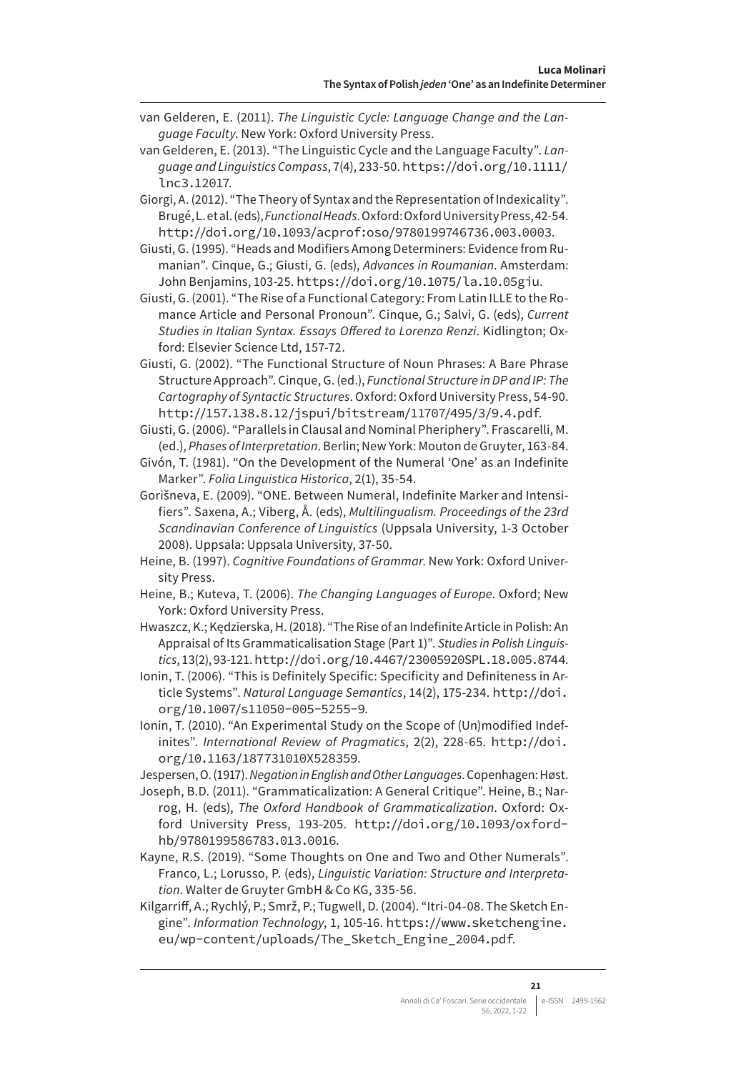- van Gelderen, E. (2011). *The Linguistic Cycle: Language Change and the Language Faculty*. New York: Oxford University Press.
- van Gelderen, E. (2013). "The Linguistic Cycle and the Language Faculty". *Language and Linguistics Compass*, 7(4), 233-50. [https://doi.org/10.1111/](https://doi.org/10.1111/lnc3.12017) [lnc3.12017](https://doi.org/10.1111/lnc3.12017).
- Giorgi, A. (2012). "The Theory of Syntax and the Representation of Indexicality". Brugé, L. et al. (eds), *Functional Heads*. Oxford: Oxford University Press, 42-54. <http://doi.org/10.1093/acprof:oso/9780199746736.003.0003>.
- Giusti, G. (1995). "Heads and Modifiers Among Determiners: Evidence from Rumanian". Cinque, G.; Giusti, G. (eds), *Advances in Roumanian*. Amsterdam: John Benjamins, 103-25. <https://doi.org/10.1075/la.10.05giu>.
- Giusti, G. (2001). "The Rise of a Functional Category: From Latin ILLE to the Romance Article and Personal Pronoun". Cinque, G.; Salvi, G. (eds), *Current Studies in Italian Syntax. Essays Offered to Lorenzo Renzi*. Kidlington; Oxford: Elsevier Science Ltd, 157-72.
- Giusti, G. (2002). "The Functional Structure of Noun Phrases: A Bare Phrase Structure Approach". Cinque, G. (ed.), *Functional Structure in DP and IP: The Cartography of Syntactic Structures*. Oxford: Oxford University Press, 54-90. <http://157.138.8.12/jspui/bitstream/11707/495/3/9.4.pdf>.
- Giusti, G. (2006). "Parallels in Clausal and Nominal Pheriphery". Frascarelli, M. (ed.), *Phases of Interpretation*. Berlin; New York: Mouton de Gruyter, 163-84.
- Givón, T. (1981). "On the Development of the Numeral 'One' as an Indefinite Marker". *Folia Linguistica Historica*, 2(1), 35-54.
- Gorišneva, E. (2009). "ONE. Between Numeral, Indefinite Marker and Intensifiers". Saxena, A.; Viberg, Å. (eds), *Multilingualism. Proceedings of the 23rd Scandinavian Conference of Linguistics* (Uppsala University, 1-3 October 2008). Uppsala: Uppsala University, 37-50.
- Heine, B. (1997). *Cognitive Foundations of Grammar*. New York: Oxford University Press.
- Heine, B.; Kuteva, T. (2006). *The Changing Languages of Europe*. Oxford; New York: Oxford University Press.
- Hwaszcz, K.; Kędzierska, H. (2018). "The Rise of an Indefinite Article in Polish: An Appraisal of Its Grammaticalisation Stage (Part 1)". *Studies in Polish Linguistics*, 13(2), 93-121. <http://doi.org/10.4467/23005920SPL.18.005.8744>.
- Ionin, T. (2006). "This is Definitely Specific: Specificity and Definiteness in Article Systems". *Natural Language Semantics*, 14(2), 175-234. [http://doi.](http://doi.org/10.1007/s11050-005-5255-9) [org/10.1007/s11050-005-5255-9](http://doi.org/10.1007/s11050-005-5255-9).
- Ionin, T. (2010). "An Experimental Study on the Scope of (Un)modified Indefinites". *International Review of Pragmatics*, 2(2), 228-65. [http://doi.](http://doi.org/10.1163/187731010X528359) [org/10.1163/187731010X528359](http://doi.org/10.1163/187731010X528359).
- Jespersen, O. (1917). *Negation in English and Other Languages*. Copenhagen: Høst.
- Joseph, B.D. (2011). "Grammaticalization: A General Critique". Heine, B.; Narrog, H. (eds), *The Oxford Handbook of Grammaticalization*. Oxford: Oxford University Press, 193-205. [http://doi.org/10.1093/oxford](http://doi.org/10.1093/oxfordhb/9780199586783.013.0016)[hb/9780199586783.013.0016](http://doi.org/10.1093/oxfordhb/9780199586783.013.0016).
- Kayne, R.S. (2019). "Some Thoughts on One and Two and Other Numerals". Franco, L.; Lorusso, P. (eds), *Linguistic Variation: Structure and Interpretation*. Walter de Gruyter GmbH & Co KG, 335-56.
- Kilgarriff, A.; Rychlý, P.; Smrž, P.; Tugwell, D. (2004). "Itri-04-08. The Sketch Engine". *Information Technology*, 1, 105-16. [https://www.sketchengine.](https://www.sketchengine.eu/wp-content/uploads/The_Sketch_Engine_2004.pdf) [eu/wp-content/uploads/The\\_Sketch\\_Engine\\_2004.pdf](https://www.sketchengine.eu/wp-content/uploads/The_Sketch_Engine_2004.pdf).